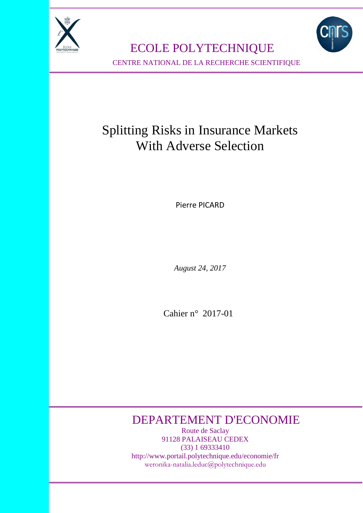

 ECOLE POLYTECHNIQUE CENTRE NATIONAL DE LA RECHERCHE SCIENTIFIQUE

# Splitting Risks in Insurance Markets With Adverse Selection

Pierre PICARD

*August 24, 2017*

Cahier n° 2017-01

# DEPARTEMENT D'ECONOMIE

Route de Saclay 91128 PALAISEAU CEDEX (33) 1 69333410 http://www.portail.polytechnique.edu/economie/fr weronika-natalia.leduc@polytechnique.edu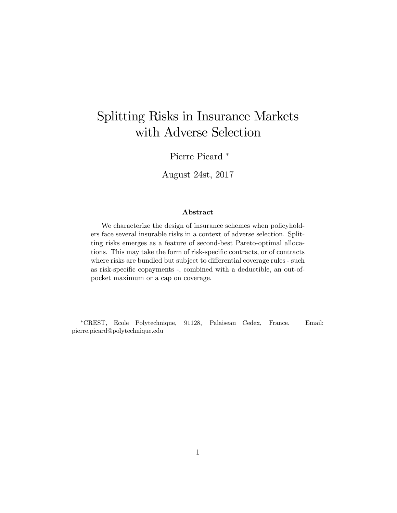# Splitting Risks in Insurance Markets with Adverse Selection

Pierre Picard<sup>\*</sup>

August 24st, 2017

### Abstract

We characterize the design of insurance schemes when policyholders face several insurable risks in a context of adverse selection. Splitting risks emerges as a feature of second-best Pareto-optimal allocations. This may take the form of risk-specific contracts, or of contracts where risks are bundled but subject to differential coverage rules - such as risk-specific copayments -, combined with a deductible, an out-ofpocket maximum or a cap on coverage.

CREST, Ecole Polytechnique, 91128, Palaiseau Cedex, France. Email: pierre.picard@polytechnique.edu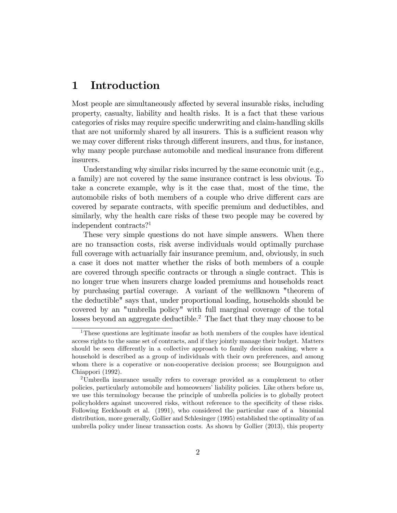# 1 Introduction

Most people are simultaneously affected by several insurable risks, including property, casualty, liability and health risks. It is a fact that these various categories of risks may require specific underwriting and claim-handling skills that are not uniformly shared by all insurers. This is a sufficient reason why we may cover different risks through different insurers, and thus, for instance, why many people purchase automobile and medical insurance from different insurers.

Understanding why similar risks incurred by the same economic unit (e.g., a family) are not covered by the same insurance contract is less obvious. To take a concrete example, why is it the case that, most of the time, the automobile risks of both members of a couple who drive different cars are covered by separate contracts, with specific premium and deductibles, and similarly, why the health care risks of these two people may be covered by independent contracts?<sup>1</sup>

These very simple questions do not have simple answers. When there are no transaction costs, risk averse individuals would optimally purchase full coverage with actuarially fair insurance premium, and, obviously, in such a case it does not matter whether the risks of both members of a couple are covered through specific contracts or through a single contract. This is no longer true when insurers charge loaded premiums and households react by purchasing partial coverage. A variant of the wellknown "theorem of the deductible" says that, under proportional loading, households should be covered by an "umbrella policy" with full marginal coverage of the total losses beyond an aggregate deductible.<sup>2</sup> The fact that they may choose to be

<sup>1</sup>These questions are legitimate insofar as both members of the couples have identical access rights to the same set of contracts, and if they jointly manage their budget. Matters should be seen differently in a collective approach to family decision making, where a household is described as a group of individuals with their own preferences, and among whom there is a coperative or non-cooperative decision process; see Bourguignon and Chiappori (1992).

<sup>2</sup>Umbrella insurance usually refers to coverage provided as a complement to other policies, particularly automobile and homeowners' liability policies. Like others before us, we use this terminology because the principle of umbrella policies is to globally protect policyholders against uncovered risks, without reference to the specificity of these risks. Following Eeckhoudt et al. (1991), who considered the particular case of a binomial distribution, more generally, Gollier and Schlesinger (1995) established the optimality of an umbrella policy under linear transaction costs. As shown by Gollier (2013), this property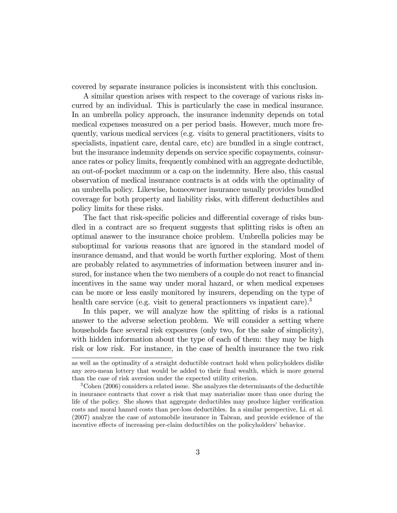covered by separate insurance policies is inconsistent with this conclusion.

A similar question arises with respect to the coverage of various risks incurred by an individual. This is particularly the case in medical insurance. In an umbrella policy approach, the insurance indemnity depends on total medical expenses measured on a per period basis. However, much more frequently, various medical services (e.g. visits to general practitioners, visits to specialists, inpatient care, dental care, etc) are bundled in a single contract, but the insurance indemnity depends on service specific copayments, coinsurance rates or policy limits, frequently combined with an aggregate deductible, an out-of-pocket maximum or a cap on the indemnity. Here also, this casual observation of medical insurance contracts is at odds with the optimality of an umbrella policy. Likewise, homeowner insurance usually provides bundled coverage for both property and liability risks, with different deductibles and policy limits for these risks.

The fact that risk-specific policies and differential coverage of risks bundled in a contract are so frequent suggests that splitting risks is often an optimal answer to the insurance choice problem. Umbrella policies may be suboptimal for various reasons that are ignored in the standard model of insurance demand, and that would be worth further exploring. Most of them are probably related to asymmetries of information between insurer and insured, for instance when the two members of a couple do not react to financial incentives in the same way under moral hazard, or when medical expenses can be more or less easily monitored by insurers, depending on the type of health care service (e.g. visit to general practionners vs inpatient care).<sup>3</sup>

In this paper, we will analyze how the splitting of risks is a rational answer to the adverse selection problem. We will consider a setting where households face several risk exposures (only two, for the sake of simplicity), with hidden information about the type of each of them: they may be high risk or low risk. For instance, in the case of health insurance the two risk

as well as the optimality of a straight deductible contract hold when policyholders dislike any zero-mean lottery that would be added to their final wealth, which is more general than the case of risk aversion under the expected utility criterion.

 $3^3$ Cohen (2006) considers a related issue. She analyzes the determinants of the deductible in insurance contracts that cover a risk that may materialize more than once during the life of the policy. She shows that aggregate deductibles may produce higher verification costs and moral hazard costs than per-loss deductibles. In a similar perspective, Li. et al. (2007) analyze the case of automobile insurance in Taiwan, and provide evidence of the incentive effects of increasing per-claim deductibles on the policyholders' behavior.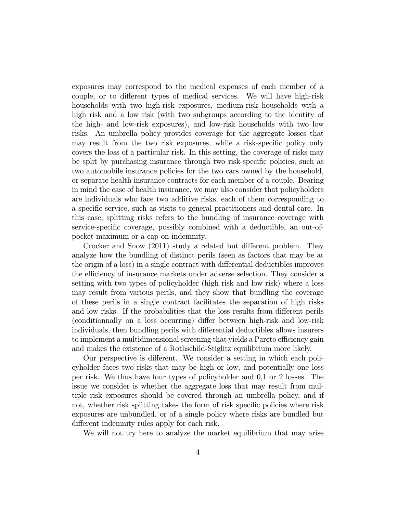exposures may correspond to the medical expenses of each member of a couple, or to different types of medical services. We will have high-risk households with two high-risk exposures, medium-risk households with a high risk and a low risk (with two subgroups according to the identity of the high- and low-risk exposures), and low-risk households with two low risks. An umbrella policy provides coverage for the aggregate losses that may result from the two risk exposures, while a risk-specific policy only covers the loss of a particular risk. In this setting, the coverage of risks may be split by purchasing insurance through two risk-specific policies, such as two automobile insurance policies for the two cars owned by the household, or separate health insurance contracts for each member of a couple. Bearing in mind the case of health insurance, we may also consider that policyholders are individuals who face two additive risks, each of them corresponding to a specific service, such as visits to general practitioners and dental care. In this case, splitting risks refers to the bundling of insurance coverage with service-specific coverage, possibly combined with a deductible, an out-ofpocket maximum or a cap on indemnity.

Crocker and Snow  $(2011)$  study a related but different problem. They analyze how the bundling of distinct perils (seen as factors that may be at the origin of a loss) in a single contract with differential deductibles improves the efficiency of insurance markets under adverse selection. They consider a setting with two types of policyholder (high risk and low risk) where a loss may result from various perils, and they show that bundling the coverage of these perils in a single contract facilitates the separation of high risks and low risks. If the probabilities that the loss results from different perils (conditionnally on a loss occurring) differ between high-risk and low-risk individuals, then bundling perils with differential deductibles allows insurers to implement a multidimensional screening that yields a Pareto efficiency gain and makes the existence of a Rothschild-Stiglitz equilibrium more likely.

Our perspective is different. We consider a setting in which each policyholder faces two risks that may be high or low, and potentially one loss per risk. We thus have four types of policyholder and 0,1 or 2 losses. The issue we consider is whether the aggregate loss that may result from multiple risk exposures should be covered through an umbrella policy, and if not, whether risk splitting takes the form of risk specific policies where risk exposures are unbundled, or of a single policy where risks are bundled but different indemnity rules apply for each risk.

We will not try here to analyze the market equilibrium that may arise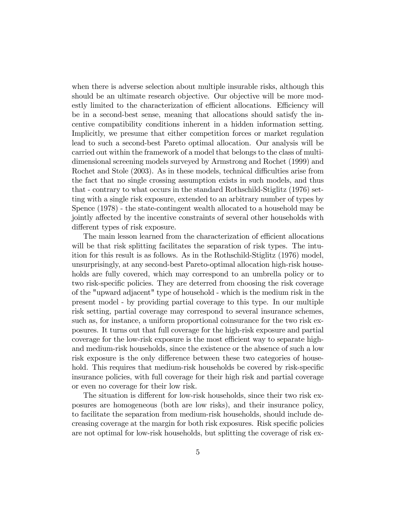when there is adverse selection about multiple insurable risks, although this should be an ultimate research objective. Our objective will be more modestly limited to the characterization of efficient allocations. Efficiency will be in a second-best sense, meaning that allocations should satisfy the incentive compatibility conditions inherent in a hidden information setting. Implicitly, we presume that either competition forces or market regulation lead to such a second-best Pareto optimal allocation. Our analysis will be carried out within the framework of a model that belongs to the class of multidimensional screening models surveyed by Armstrong and Rochet (1999) and Rochet and Stole (2003). As in these models, technical difficulties arise from the fact that no single crossing assumption exists in such models, and thus that - contrary to what occurs in the standard Rothschild-Stiglitz (1976) setting with a single risk exposure, extended to an arbitrary number of types by Spence (1978) - the state-contingent wealth allocated to a household may be jointly affected by the incentive constraints of several other households with different types of risk exposure.

The main lesson learned from the characterization of efficient allocations will be that risk splitting facilitates the separation of risk types. The intuition for this result is as follows. As in the Rothschild-Stiglitz (1976) model, unsurprisingly, at any second-best Pareto-optimal allocation high-risk households are fully covered, which may correspond to an umbrella policy or to two risk-specific policies. They are deterred from choosing the risk coverage of the "upward adjacent" type of household - which is the medium risk in the present model - by providing partial coverage to this type. In our multiple risk setting, partial coverage may correspond to several insurance schemes, such as, for instance, a uniform proportional coinsurance for the two risk exposures. It turns out that full coverage for the high-risk exposure and partial coverage for the low-risk exposure is the most efficient way to separate highand medium-risk households, since the existence or the absence of such a low risk exposure is the only difference between these two categories of household. This requires that medium-risk households be covered by risk-specific insurance policies, with full coverage for their high risk and partial coverage or even no coverage for their low risk.

The situation is different for low-risk households, since their two risk exposures are homogeneous (both are low risks), and their insurance policy, to facilitate the separation from medium-risk households, should include decreasing coverage at the margin for both risk exposures. Risk specific policies are not optimal for low-risk households, but splitting the coverage of risk ex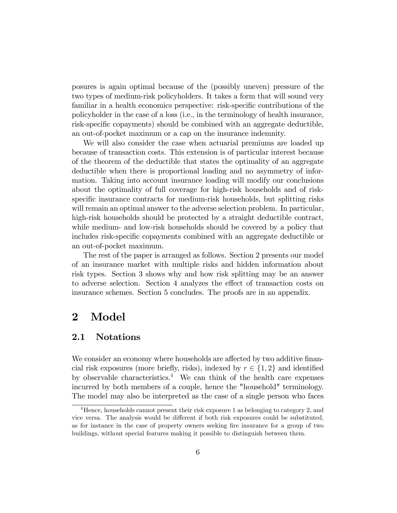posures is again optimal because of the (possibly uneven) pressure of the two types of medium-risk policyholders. It takes a form that will sound very familiar in a health economics perspective: risk-specific contributions of the policyholder in the case of a loss (i.e., in the terminology of health insurance, risk-specific copayments) should be combined with an aggregate deductible, an out-of-pocket maximum or a cap on the insurance indemnity.

We will also consider the case when actuarial premiums are loaded up because of transaction costs. This extension is of particular interest because of the theorem of the deductible that states the optimality of an aggregate deductible when there is proportional loading and no asymmetry of information. Taking into account insurance loading will modify our conclusions about the optimality of full coverage for high-risk households and of riskspecific insurance contracts for medium-risk households, but splitting risks will remain an optimal answer to the adverse selection problem. In particular, high-risk households should be protected by a straight deductible contract, while medium- and low-risk households should be covered by a policy that includes risk-specific copayments combined with an aggregate deductible or an out-of-pocket maximum.

The rest of the paper is arranged as follows. Section 2 presents our model of an insurance market with multiple risks and hidden information about risk types. Section 3 shows why and how risk splitting may be an answer to adverse selection. Section 4 analyzes the effect of transaction costs on insurance schemes. Section 5 concludes. The proofs are in an appendix.

# 2 Model

# 2.1 Notations

We consider an economy where households are affected by two additive financial risk exposures (more briefly, risks), indexed by  $r \in \{1, 2\}$  and identified by observable characteristics.<sup>4</sup> We can think of the health care expenses incurred by both members of a couple, hence the "household" terminology. The model may also be interpreted as the case of a single person who faces

<sup>&</sup>lt;sup>4</sup>Hence, households cannot present their risk exposure 1 as belonging to category 2, and vice versa. The analysis would be different if both risk exposures could be substituted, as for instance in the case of property owners seeking fire insurance for a group of two buildings, without special features making it possible to distinguish between them.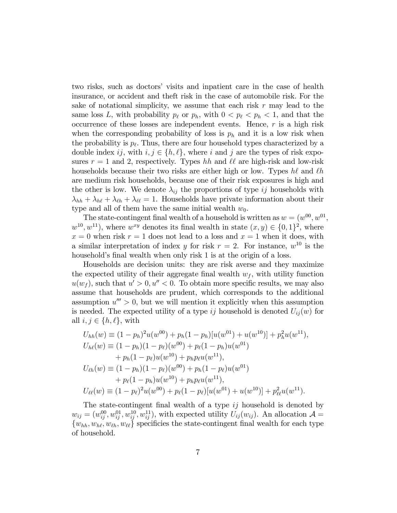two risks, such as doctorsí visits and inpatient care in the case of health insurance, or accident and theft risk in the case of automobile risk. For the sake of notational simplicity, we assume that each risk  $r$  may lead to the same loss L, with probability  $p_\ell$  or  $p_h$ , with  $0 < p_\ell < p_h < 1$ , and that the occurrence of these losses are independent events. Hence,  $r$  is a high risk when the corresponding probability of loss is  $p_h$  and it is a low risk when the probability is  $p_{\ell}$ . Thus, there are four household types characterized by a double index ij, with  $i, j \in \{h, \ell\}$ , where i and j are the types of risk exposures  $r = 1$  and 2, respectively. Types hh and  $\ell\ell$  are high-risk and low-risk households because their two risks are either high or low. Types  $h\ell$  and  $\ell h$ are medium risk households, because one of their risk exposures is high and the other is low. We denote  $\lambda_{ij}$  the proportions of type ij households with  $\lambda_{hh} + \lambda_{hl} + \lambda_{lh} + \lambda_{ll} = 1$ . Households have private information about their type and all of them have the same initial wealth  $w_0$ .

The state-contingent final wealth of a household is written as  $w = (w^{00}, w^{01},$  $w^{10}, w^{11}$ , where  $w^{xy}$  denotes its final wealth in state  $(x, y) \in \{0, 1\}^2$ , where  $x = 0$  when risk  $r = 1$  does not lead to a loss and  $x = 1$  when it does, with a similar interpretation of index y for risk  $r = 2$ . For instance,  $w^{10}$  is the household's final wealth when only risk 1 is at the origin of a loss.

Households are decision units: they are risk averse and they maximize the expected utility of their aggregate final wealth  $w_f$ , with utility function  $u(w_f)$ , such that  $u' > 0$ ,  $u'' < 0$ . To obtain more specific results, we may also assume that households are prudent, which corresponds to the additional assumption  $u''' > 0$ , but we will mention it explicitly when this assumption is needed. The expected utility of a type ij household is denoted  $U_{ij}(w)$  for all  $i, j \in \{h, \ell\}$ , with

$$
U_{hh}(w) = (1 - p_h)^2 u(w^{00}) + p_h(1 - p_h)[u(w^{01}) + u(w^{10})] + p_h^2 u(w^{11}),
$$
  
\n
$$
U_{h\ell}(w) = (1 - p_h)(1 - p_\ell)(w^{00}) + p_\ell(1 - p_h)u(w^{01})
$$
  
\n
$$
+ p_h(1 - p_\ell)u(w^{10}) + p_h p_\ell u(w^{11}),
$$
  
\n
$$
U_{\ell h}(w) = (1 - p_h)(1 - p_\ell)(w^{00}) + p_h(1 - p_\ell)u(w^{01})
$$
  
\n
$$
+ p_\ell(1 - p_h)u(w^{10}) + p_h p_\ell u(w^{11}),
$$
  
\n
$$
U_{\ell\ell}(w) = (1 - p_\ell)^2 u(w^{00}) + p_\ell(1 - p_\ell)[u(w^{01}) + u(w^{10})] + p_{\ell\ell}^2 u(w^{11}).
$$

The state-contingent final wealth of a type  $ij$  household is denoted by  $w_{ij} = (w_{ij}^{00}, w_{ij}^{01}, w_{ij}^{10}, w_{ij}^{11}),$  with expected utility  $U_{ij}(w_{ij})$ . An allocation  $\mathcal{A} =$  $\{w_{hh}, w_{h\ell}, w_{\ell h}, w_{\ell \ell}\}\$  specificies the state-contingent final wealth for each type of household.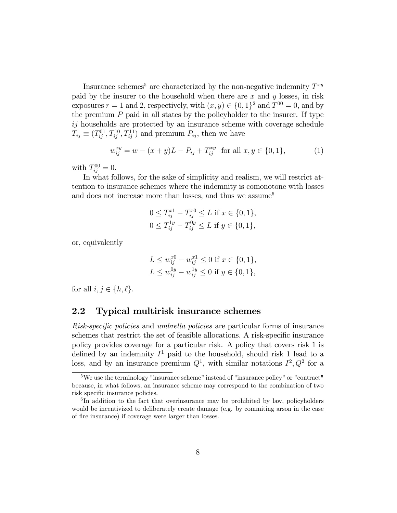Insurance schemes<sup>5</sup> are characterized by the non-negative indemnity  $T^{xy}$ paid by the insurer to the household when there are  $x$  and  $y$  losses, in risk exposures  $r = 1$  and 2, respectively, with  $(x, y) \in \{0, 1\}^2$  and  $T^{00} = 0$ , and by the premium  $P$  paid in all states by the policyholder to the insurer. If type ij households are protected by an insurance scheme with coverage schedule  $T_{ij} \equiv (T_{ij}^{01}, T_{ij}^{10}, T_{ij}^{11})$  and premium  $P_{ij}$ , then we have

$$
w_{ij}^{xy} = w - (x + y)L - P_{ij} + T_{ij}^{xy} \text{ for all } x, y \in \{0, 1\},\tag{1}
$$

with  $T_{ij}^{00} = 0$ .

In what follows, for the sake of simplicity and realism, we will restrict attention to insurance schemes where the indemnity is comonotone with losses and does not increase more than losses, and thus we assume  $6$ 

$$
0 \le T_{ij}^{x1} - T_{ij}^{x0} \le L \text{ if } x \in \{0, 1\},
$$
  

$$
0 \le T_{ij}^{1y} - T_{ij}^{0y} \le L \text{ if } y \in \{0, 1\},
$$

or, equivalently

$$
L \le w_{ij}^{x0} - w_{ij}^{x1} \le 0 \text{ if } x \in \{0, 1\},
$$
  

$$
L \le w_{ij}^{0y} - w_{ij}^{1y} \le 0 \text{ if } y \in \{0, 1\},
$$

for all  $i, j \in \{h, \ell\}.$ 

# 2.2 Typical multirisk insurance schemes

Risk-specific policies and umbrella policies are particular forms of insurance schemes that restrict the set of feasible allocations. A risk-specific insurance policy provides coverage for a particular risk. A policy that covers risk 1 is defined by an indemnity  $I^1$  paid to the household, should risk 1 lead to a loss, and by an insurance premium  $Q^1$ , with similar notations  $I^2, Q^2$  for a

<sup>&</sup>lt;sup>5</sup>We use the terminology "insurance scheme" instead of "insurance policy" or "contract" because, in what follows, an insurance scheme may correspond to the combination of two risk specific insurance policies.

<sup>&</sup>lt;sup>6</sup>In addition to the fact that overinsurance may be prohibited by law, policyholders would be incentivized to deliberately create damage (e.g. by commiting arson in the case of fire insurance) if coverage were larger than losses.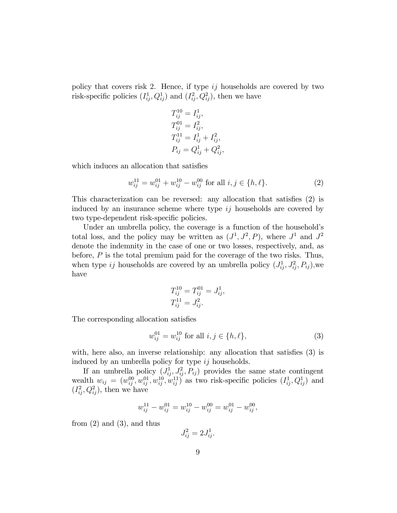policy that covers risk 2. Hence, if type  $ij$  households are covered by two risk-specific policies  $(I_{ij}^1, Q_{ij}^1)$  and  $(I_{ij}^2, Q_{ij}^2)$ , then we have

$$
T_{ij}^{10} = I_{ij}^{1},
$$
  
\n
$$
T_{ij}^{01} = I_{ij}^{2},
$$
  
\n
$$
T_{ij}^{11} = I_{ij}^{1} + I_{ij}^{2},
$$
  
\n
$$
P_{ij} = Q_{ij}^{1} + Q_{ij}^{2},
$$

which induces an allocation that satisfies

$$
w_{ij}^{11} = w_{ij}^{01} + w_{ij}^{10} - w_{ij}^{00} \text{ for all } i, j \in \{h, \ell\}. \tag{2}
$$

This characterization can be reversed: any allocation that satisfies  $(2)$  is induced by an insurance scheme where type  $ij$  households are covered by two type-dependent risk-specific policies.

Under an umbrella policy, the coverage is a function of the household's total loss, and the policy may be written as  $(J^1, J^2, P)$ , where  $J^1$  and  $J^2$ denote the indemnity in the case of one or two losses, respectively, and, as before,  $P$  is the total premium paid for the coverage of the two risks. Thus, when type ij households are covered by an umbrella policy  $(J_{ij}^1, J_{ij}^2, P_{ij})$ , we have

$$
T_{ij}^{10} = T_{ij}^{01} = J_{ij}^{1},
$$
  
\n
$$
T_{ij}^{11} = J_{ij}^{2}.
$$

The corresponding allocation satisfies

$$
w_{ij}^{01} = w_{ij}^{10} \text{ for all } i, j \in \{h, \ell\},\tag{3}
$$

with, here also, an inverse relationship: any allocation that satisfies  $(3)$  is induced by an umbrella policy for type ij households.

If an umbrella policy  $(J_{ij}^1, J_{ij}^2, P_{ij})$  provides the same state contingent wealth  $w_{ij} = (w_{ij}^{00}, w_{ij}^{01}, w_{ij}^{10}, w_{ij}^{11})$  as two risk-specific policies  $(I_{ij}^1, Q_{ij}^1)$  and  $(I_{ij}^2, Q_{ij}^2)$ , then we have

$$
w_{ij}^{11} - w_{ij}^{01} = w_{ij}^{10} - w_{ij}^{00} = w_{ij}^{01} - w_{ij}^{00},
$$

from  $(2)$  and  $(3)$ , and thus

 $J_{ij}^2 = 2J_{ij}^1$ .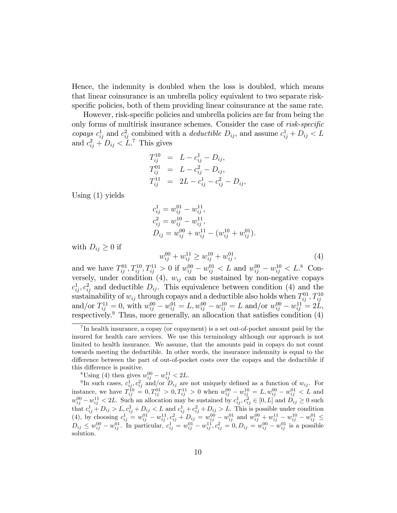Hence, the indemnity is doubled when the loss is doubled, which means that linear coinsurance is an umbrella policy equivalent to two separate riskspecific policies, both of them providing linear coinsurance at the same rate.

However, risk-specific policies and umbrella policies are far from being the only forms of multirisk insurance schemes. Consider the case of  $risk-specific$ copays  $c_{ij}^1$  and  $c_{ij}^2$  combined with a *deductible*  $D_{ij}$ , and assume  $c_{ij}^1 + D_{ij} < L$ and  $c_{ij}^2 + D_{ij} < L$ .<sup>7</sup> This gives

$$
T_{ij}^{10} = L - c_{ij}^{1} - D_{ij},
$$
  
\n
$$
T_{ij}^{01} = L - c_{ij}^{2} - D_{ij},
$$
  
\n
$$
T_{ij}^{11} = 2L - c_{ij}^{1} - c_{ij}^{2} - D_{ij},
$$

Using (1) yields

$$
c_{ij}^{1} = w_{ij}^{01} - w_{ij}^{11},
$$
  
\n
$$
c_{ij}^{2} = w_{ij}^{10} - w_{ij}^{11},
$$
  
\n
$$
D_{ij} = w_{ij}^{00} + w_{ij}^{11} - (w_{ij}^{10} + w_{ij}^{01}).
$$

with  $D_{ij} \geq 0$  if

$$
w_{ij}^{00} + w_{ij}^{11} \ge w_{ij}^{10} + w_{ij}^{01}, \tag{4}
$$

and we have  $T_{ij}^{01}, T_{ij}^{10}, T_{ij}^{11} > 0$  if  $w_{ij}^{00} - w_{ij}^{01} < L$  and  $w_{ij}^{00} - w_{ij}^{10} < L$ .<sup>8</sup> Conversely, under condition (4),  $w_{ij}$  can be sustained by non-negative copays  $c_{ij}^1, c_{ij}^2$  and deductible  $D_{ij}$ . This equivalence between condition (4) and the sustainability of  $w_{ij}$  through copays and a deductible also holds when  $T_{ij}^{01}$ ,  $T_{ij}^{10}$ and/or  $T_{ij}^{11} = 0$ , with  $w_{ij}^{00} - w_{ij}^{01} = L$ ,  $w_{ij}^{00} - w_{ij}^{10} = L$  and/or  $w_{ij}^{00} - w_{ij}^{11} = 2L$ , respectively.<sup>9</sup> Thus, more generally, an allocation that satisfies condition  $(4)$ 

<sup>8</sup>Using (4) then gives  $w_{ij}^{00} - w_{ij}^{11} < 2L$ .<br><sup>9</sup>In such cases,  $c_{ij}^1$ ,  $c_{ij}^2$  and/or  $D_{ij}$  are not uniquely defined as a function of  $w_{ij}$ . For instance, we have  $T_{ij}^{10} = 0, T_{ij}^{01} > 0, T_{ij}^{11} > 0$  when  $w_{ij}^{00} - w_{ij}^{10} = L, w_{ij}^{00} - w_{ij}^{01} < L$  and  $w_{ij}^{00} - w_{ij}^{11} < 2L$ . Such an allocation may be sustained by  $c_{ij}^1, c_{ij}^2 \in [0, L]$  and  $D_{ij} \ge 0$  such that  $c_{ij}^1 + D_{ij} > L$ ,  $c_{ij}^2 + D_{ij} < L$  and  $c_{ij}^1 + c_{ij}^2 + D_{ij} > L$ . This is possible under condition (4), by choosing  $c_{ij}^1 = w_{ij}^{01} - w_{ij}^{11}, c_{ij}^2 + D_{ij} = w_{ij}^{00} - w_{ij}^{01}$  and  $w_{ij}^{00} + w_{ij}^{11} - w_{ij}^{10} - w_{ij}^{01} \leq$  $D_{ij} \leq w_{ij}^{00} - w_{ij}^{01}$ . In particular,  $c_{ij}^1 = w_{ij}^{01} - w_{ij}^{11}$ ,  $c_{ij}^2 = 0$ ,  $D_{ij} = w_{ij}^{00} - w_{ij}^{01}$  is a possible solution.

<sup>&</sup>lt;sup>7</sup>In health insurance, a copay (or copayment) is a set out-of-pocket amount paid by the insured for health care services. We use this terminology although our approach is not limited to health insurance. We assume, that the amounts paid in copays do not count towards meeting the deductible. In other words, the insurance indemnity is equal to the difference between the part of out-of-pocket costs over the copays and the deductible if this difference is positive.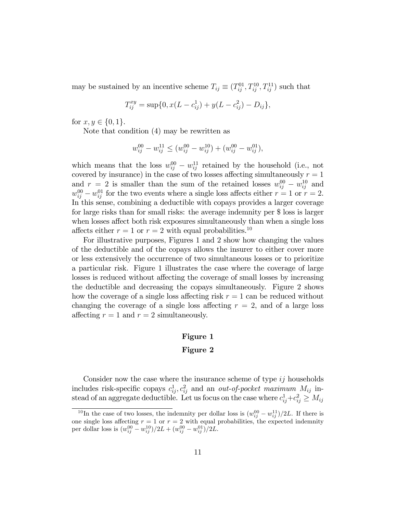may be sustained by an incentive scheme  $T_{ij} \equiv (T_{ij}^{01}, T_{ij}^{10}, T_{ij}^{11})$  such that

$$
T_{ij}^{xy} = \sup\{0, x(L - c_{ij}^1) + y(L - c_{ij}^2) - D_{ij}\},\
$$

for  $x, y \in \{0, 1\}.$ 

Note that condition (4) may be rewritten as

$$
w_{ij}^{00} - w_{ij}^{11} \le (w_{ij}^{00} - w_{ij}^{10}) + (w_{ij}^{00} - w_{ij}^{01}),
$$

which means that the loss  $w_{ij}^{00} - w_{ij}^{11}$  retained by the household (i.e., not covered by insurance) in the case of two losses affecting simultaneously  $r = 1$ and  $r = 2$  is smaller than the sum of the retained losses  $w_{ij}^{00} - w_{ij}^{10}$  and  $w_{ij}^{00} - w_{ij}^{01}$  for the two events where a single loss affects either  $r = 1$  or  $r = 2$ . In this sense, combining a deductible with copays provides a larger coverage for large risks than for small risks: the average indemnity per \$ loss is larger when losses affect both risk exposures simultaneously than when a single loss affects either  $r = 1$  or  $r = 2$  with equal probabilities.<sup>10</sup>

For illustrative purposes, Figures 1 and 2 show how changing the values of the deductible and of the copays allows the insurer to either cover more or less extensively the occurrence of two simultaneous losses or to prioritize a particular risk. Figure 1 illustrates the case where the coverage of large losses is reduced without affecting the coverage of small losses by increasing the deductible and decreasing the copays simultaneously. Figure 2 shows how the coverage of a single loss affecting risk  $r = 1$  can be reduced without changing the coverage of a single loss affecting  $r = 2$ , and of a large loss affecting  $r = 1$  and  $r = 2$  simultaneously.

## Figure 1

## Figure 2

Consider now the case where the insurance scheme of type  $ij$  households includes risk-specific copays  $c_{ij}^1, c_{ij}^2$  and an *out-of-pocket maximum*  $M_{ij}$  instead of an aggregate deductible. Let us focus on the case where  $c_{ij}^1 + c_{ij}^2 \ge M_{ij}$ 

<sup>&</sup>lt;sup>10</sup>In the case of two losses, the indemnity per dollar loss is  $(w_{ij}^{00} - w_{ij}^{11})/2L$ . If there is one single loss affecting  $r = 1$  or  $r = 2$  with equal probabilities, the expected indemnity per dollar loss is  $(w_{ij}^{00} - w_{ij}^{10})/2L + (w_{ij}^{00} - w_{ij}^{01})/2L$ .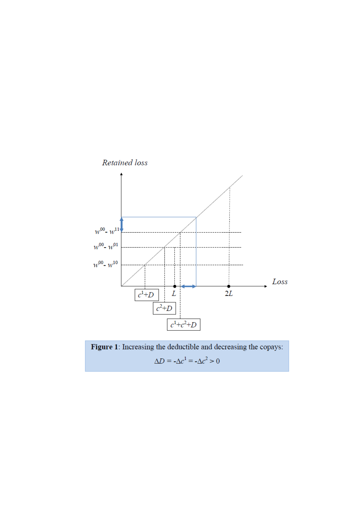

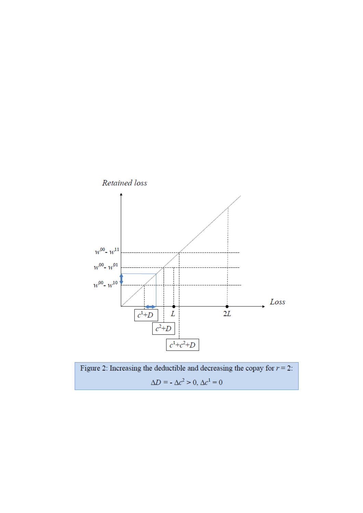

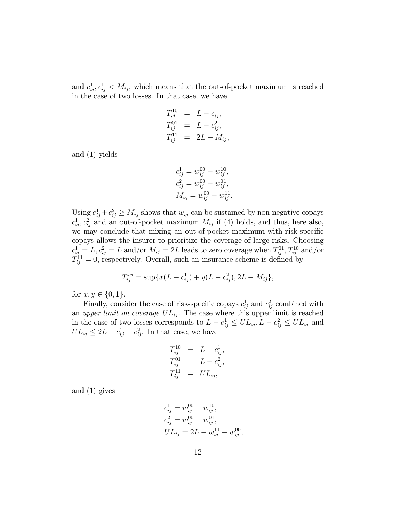and  $c_{ij}^1, c_{ij}^1 < M_{ij}$ , which means that the out-of-pocket maximum is reached in the case of two losses. In that case, we have

$$
T_{ij}^{10} = L - c_{ij}^{1},
$$
  
\n
$$
T_{ij}^{01} = L - c_{ij}^{2},
$$
  
\n
$$
T_{ij}^{11} = 2L - M_{ij},
$$

and (1) yields

$$
c_{ij}^{1} = w_{ij}^{00} - w_{ij}^{10},
$$
  
\n
$$
c_{ij}^{2} = w_{ij}^{00} - w_{ij}^{01},
$$
  
\n
$$
M_{ij} = w_{ij}^{00} - w_{ij}^{11}.
$$

Using  $c_{ij}^1 + c_{ij}^2 \geq M_{ij}$  shows that  $w_{ij}$  can be sustained by non-negative copays  $c_{ij}^1, c_{ij}^2$  and an out-of-pocket maximum  $M_{ij}$  if (4) holds, and thus, here also, we may conclude that mixing an out-of-pocket maximum with risk-specific copays allows the insurer to prioritize the coverage of large risks. Choosing  $c_{ij}^1 = L, c_{ij}^2 = L$  and/or  $M_{ij} = 2L$  leads to zero coverage when  $T_{ij}^{01}, T_{ij}^{10}$  and/or  $T_{ij}^{11} = 0$ , respectively. Overall, such an insurance scheme is defined by

$$
T_{ij}^{xy} = \sup \{ x(L - c_{ij}^1) + y(L - c_{ij}^2), 2L - M_{ij} \},\
$$

for  $x, y \in \{0, 1\}.$ 

Finally, consider the case of risk-specific copays  $c_{ij}^1$  and  $c_{ij}^2$  combined with an upper limit on coverage  $UL_{ij}$ . The case where this upper limit is reached in the case of two losses corresponds to  $L - c_{ij}^1 \leq UL_{ij}, L - c_{ij}^2 \leq UL_{ij}$  and  $UL_{ij} \leq 2L - c_{ij}^1 - c_{ij}^2$ . In that case, we have

$$
T_{ij}^{10} = L - c_{ij}^{1},
$$
  
\n
$$
T_{ij}^{01} = L - c_{ij}^{2},
$$
  
\n
$$
T_{ij}^{11} = UL_{ij},
$$

and (1) gives

$$
c_{ij}^{1} = w_{ij}^{00} - w_{ij}^{10},
$$
  
\n
$$
c_{ij}^{2} = w_{ij}^{00} - w_{ij}^{01},
$$
  
\n
$$
UL_{ij} = 2L + w_{ij}^{11} - w_{ij}^{00},
$$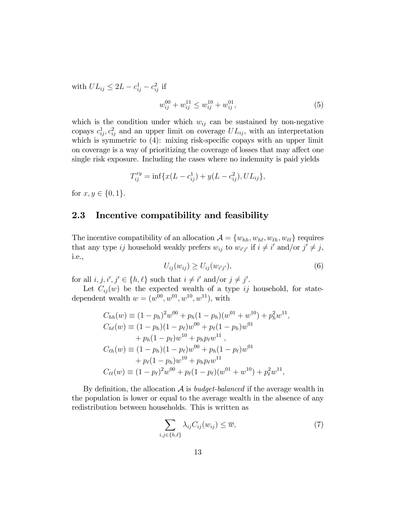with  $UL_{ij} \leq 2L - c_{ij}^1 - c_{ij}^2$  if

$$
w_{ij}^{00} + w_{ij}^{11} \le w_{ij}^{10} + w_{ij}^{01}, \tag{5}
$$

which is the condition under which  $w_{ij}$  can be sustained by non-negative copays  $c_{ij}^1, c_{ij}^2$  and an upper limit on coverage  $UL_{ij}$ , with an interpretation which is symmetric to  $(4)$ : mixing risk-specific copays with an upper limit on coverage is a way of prioritizing the coverage of losses that may affect one single risk exposure. Including the cases where no indemnity is paid yields

$$
T_{ij}^{xy} = \inf \{ x(L - c_{ij}^1) + y(L - c_{ij}^2), UL_{ij} \},\
$$

for  $x, y \in \{0, 1\}.$ 

# 2.3 Incentive compatibility and feasibility

The incentive compatibility of an allocation  $A = \{w_{hh}, w_{hh}, w_{\ell\ell}, w_{\ell\ell}\}\$  requires that any type ij household weakly prefers  $w_{ij}$  to  $w_{i'j'}$  if  $i \neq i'$  and/or  $j' \neq j$ , i.e.,

$$
U_{ij}(w_{ij}) \ge U_{ij}(w_{i'j'}),\tag{6}
$$

for all  $i, j, i', j' \in \{h, \ell\}$  such that  $i \neq i'$  and/or  $j \neq j'$ .

Let  $C_{ij}(w)$  be the expected wealth of a type ij household, for statedependent wealth  $w = (w^{00}, w^{01}, w^{10}, w^{11})$ , with

$$
C_{hh}(w) = (1 - p_h)^2 w^{00} + p_h (1 - p_h)(w^{01} + w^{10}) + p_h^2 w^{11},
$$
  
\n
$$
C_{h\ell}(w) = (1 - p_h)(1 - p_\ell)w^{00} + p_\ell (1 - p_h)w^{01}
$$
  
\n
$$
+ p_h (1 - p_\ell)w^{10} + p_h p_\ell w^{11},
$$
  
\n
$$
C_{\ell h}(w) = (1 - p_h)(1 - p_\ell)w^{00} + p_h (1 - p_\ell)w^{01}
$$
  
\n
$$
+ p_\ell (1 - p_h)w^{10} + p_h p_\ell w^{11}
$$
  
\n
$$
C_{\ell \ell}(w) = (1 - p_\ell)^2 w^{00} + p_\ell (1 - p_\ell)(w^{01} + w^{10}) + p_\ell^2 w^{11},
$$

By definition, the allocation  $A$  is *budget-balanced* if the average wealth in the population is lower or equal to the average wealth in the absence of any redistribution between households. This is written as

$$
\sum_{i,j\in\{h,\ell\}} \lambda_{ij} C_{ij}(w_{ij}) \leq \overline{w},\tag{7}
$$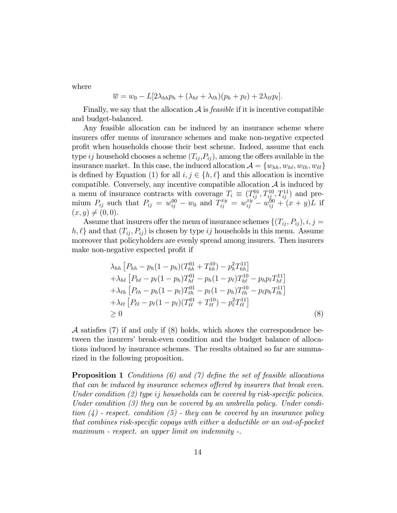where

$$
\overline{w} = w_0 - L[2\lambda_{hh}p_h + (\lambda_{h\ell} + \lambda_{\ell h})(p_h + p_\ell) + 2\lambda_{\ell\ell}p_\ell].
$$

Finally, we say that the allocation  $A$  is *feasible* if it is incentive compatible and budget-balanced.

Any feasible allocation can be induced by an insurance scheme where insurers offer menus of insurance schemes and make non-negative expected proÖt when households choose their best scheme. Indeed, assume that each type ij household chooses a scheme  $(T_{ij}, P_{ij})$ , among the offers available in the insurance market. In this case, the induced allocation  $A = \{w_{hh}, w_{h\ell}, w_{\ell h}, w_{\ell \ell}\}\$ is defined by Equation (1) for all  $i, j \in \{h, \ell\}$  and this allocation is incentive compatible. Conversely, any incentive compatible allocation  $A$  is induced by a menu of insurance contracts with coverage  $T_i \equiv (T_{ij}^{01}, T_{ij}^{10}, T_{ij}^{11})$  and premium  $P_{ij}$  such that  $P_{ij} = w_{ij}^{00} - w_0$  and  $T_{ij}^{xy} = w_{ij}^{xy} - w_{ij}^{00} + (x + y)L$  if  $(x, y) \neq (0, 0).$ 

Assume that insurers offer the menu of insurance schemes  $\{(T_{ij}, P_{ij}), i, j =$  $h, \ell$  and that  $(T_{ij}, P_{ij})$  is chosen by type ij households in this menu. Assume moreover that policyholders are evenly spread among insurers. Then insurers make non-negative expected profit if

$$
\lambda_{hh} \left[ P_{hh} - p_h (1 - p_h) (T_{hh}^{01} + T_{hh}^{10}) - p_h^2 T_{hh}^{11} \right] \n+ \lambda_{h\ell} \left[ P_{h\ell} - p_\ell (1 - p_h) T_{h\ell}^{01} - p_h (1 - p_\ell) T_{h\ell}^{10} - p_h p_\ell T_{h\ell}^{11} \right] \n+ \lambda_{\ell h} \left[ P_{\ell h} - p_h (1 - p_\ell) T_{\ell h}^{01} - p_\ell (1 - p_h) T_{\ell h}^{10} - p_\ell p_h T_{\ell h}^{11} \right] \n+ \lambda_{\ell\ell} \left[ P_{\ell\ell} - p_\ell (1 - p_\ell) (T_{\ell\ell}^{01} + T_{\ell\ell}^{10}) - p_\ell^2 T_{\ell\ell}^{11} \right] \n\geq 0
$$
\n(8)

 $\mathcal A$  satisfies (7) if and only if (8) holds, which shows the correspondence between the insurers' break-even condition and the budget balance of allocations induced by insurance schemes. The results obtained so far are summarized in the following proposition.

**Proposition 1** Conditions (6) and (7) define the set of feasible allocations that can be induced by insurance schemes offered by insurers that break even. Under condition  $(2)$  type ij households can be covered by risk-specific policies. Under condition (3) they can be covered by an umbrella policy. Under condition  $(4)$  - respect. condition  $(5)$  - they can be covered by an insurance policy that combines risk-specific copays with either a deductible or an out-of-pocket maximum - respect. an upper limit on indemnity -.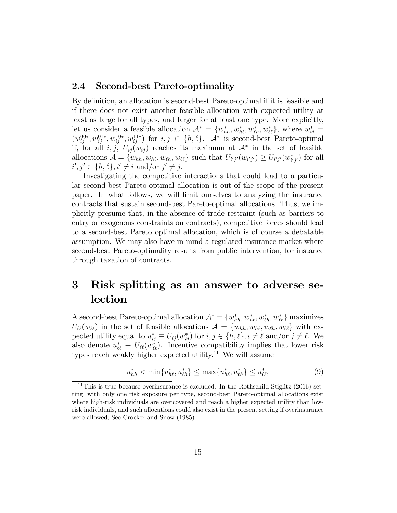# 2.4 Second-best Pareto-optimality

By definition, an allocation is second-best Pareto-optimal if it is feasible and if there does not exist another feasible allocation with expected utility at least as large for all types, and larger for at least one type. More explicitly, let us consider a feasible allocation  $\mathcal{A}^* = \{w_{hh}^*, w_{h\ell}^*, w_{\ell\ell}^*, w_{\ell\ell}^*\},$  where  $w_{ij}^* =$  $(w_{ij}^{00*}, w_{ij}^{01*}, w_{ij}^{10*}, w_{ij}^{11*})$  for  $i, j \in \{h, \ell\}$ .  $\mathcal{A}^*$  is second-best Pareto-optimal if, for all  $i, j, U_{ij}(w_{ij})$  reaches its maximum at  $\mathcal{A}^*$  in the set of feasible allocations  $\mathcal{A} = \{w_{hh}, w_{h\ell}, w_{\ell h}, w_{\ell\ell}\}\$  such that  $U_{i'j'}(w_{i'j'}) \ge U_{i'j'}(w_{i'j'}^*)$  for all  $i', j' \in \{h, \ell\}, i' \neq i \text{ and/or } j' \neq j.$ 

Investigating the competitive interactions that could lead to a particular second-best Pareto-optimal allocation is out of the scope of the present paper. In what follows, we will limit ourselves to analyzing the insurance contracts that sustain second-best Pareto-optimal allocations. Thus, we implicitly presume that, in the absence of trade restraint (such as barriers to entry or exogenous constraints on contracts), competitive forces should lead to a second-best Pareto optimal allocation, which is of course a debatable assumption. We may also have in mind a regulated insurance market where second-best Pareto-optimality results from public intervention, for instance through taxation of contracts.

# 3 Risk splitting as an answer to adverse selection

A second-best Pareto-optimal allocation  $\mathcal{A}^* = \{w_{hh}^*, w_{hl}^*, w_{\ell h}^*, w_{\ell \ell}^*\}$  maximizes  $U_{\ell\ell}(w_{\ell\ell})$  in the set of feasible allocations  $\mathcal{A} = \{w_{hh}, w_{h\ell}, w_{\ell h}, w_{\ell\ell}\}\$  with expected utility equal to  $u_{ij}^* \equiv U_{ij}(w_{ij}^*)$  for  $i, j \in \{h, \ell\}, i \neq \ell$  and/or  $j \neq \ell$ . We also denote  $u_{\ell\ell}^* \equiv U_{\ell\ell}(w_{\ell\ell}^*)$ . Incentive compatibility implies that lower risk types reach weakly higher expected utility.<sup>11</sup> We will assume

$$
u_{hh}^* < \min\{u_{h\ell}^*, u_{\ell h}^*\} \le \max\{u_{h\ell}^*, u_{\ell h}^*\} \le u_{\ell \ell}^*,
$$
\n(9)

 $11$ This is true because overinsurance is excluded. In the Rothschild-Stiglitz (2016) setting, with only one risk exposure per type, second-best Pareto-optimal allocations exist where high-risk individuals are overcovered and reach a higher expected utility than lowrisk individuals, and such allocations could also exist in the present setting if overinsurance were allowed; See Crocker and Snow (1985).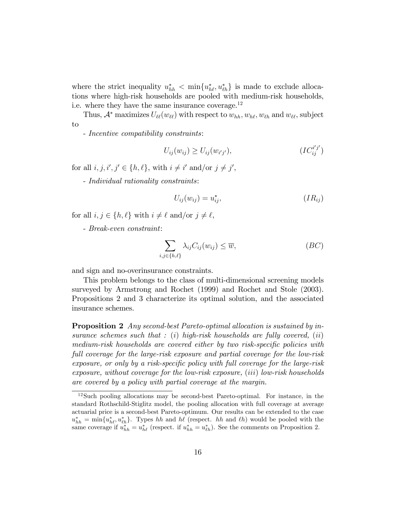where the strict inequality  $u_{hh}^* < \min\{u_{hh}^*, u_{lh}^*\}$  is made to exclude allocations where high-risk households are pooled with medium-risk households, i.e. where they have the same insurance coverage.<sup>12</sup>

Thus,  $\mathcal{A}^*$  maximizes  $U_{\ell\ell}(w_{\ell\ell})$  with respect to  $w_{hh}, w_{h\ell}, w_{\ell h}$  and  $w_{\ell\ell}$ , subject to

- Incentive compatibility constraints:

$$
U_{ij}(w_{ij}) \ge U_{ij}(w_{i'j'}), \qquad (IC_{ij}^{i'j'})
$$

for all  $i, j, i', j' \in \{h, \ell\}$ , with  $i \neq i'$  and/or  $j \neq j'$ ,

- Individual rationality constraints:

$$
U_{ij}(w_{ij}) = u_{ij}^*,\tag{IR}_{ij}
$$

- for all  $i, j \in \{h, \ell\}$  with  $i \neq \ell$  and/or  $j \neq \ell$ ,
	- Break-even constraint:

$$
\sum_{i,j\in\{h,\ell\}} \lambda_{ij} C_{ij}(w_{ij}) \le \overline{w},\tag{BC}
$$

and sign and no-overinsurance constraints.

This problem belongs to the class of multi-dimensional screening models surveyed by Armstrong and Rochet (1999) and Rochet and Stole (2003). Propositions 2 and 3 characterize its optimal solution, and the associated insurance schemes.

Proposition 2 Any second-best Pareto-optimal allocation is sustained by insurance schemes such that  $: (i)$  high-risk households are fully covered,  $(ii)$ medium-risk households are covered either by two risk-specific policies with full coverage for the large-risk exposure and partial coverage for the low-risk  $exposure, or only by a risk-specific policy with full coverage for the large-risk$ exposure, without coverage for the low-risk exposure, (iii) low-risk households are covered by a policy with partial coverage at the margin.

<sup>12</sup>Such pooling allocations may be second-best Pareto-optimal. For instance, in the standard Rothschild-Stiglitz model, the pooling allocation with full coverage at average actuarial price is a second-best Pareto-optimum. Our results can be extended to the case  $u_{hh}^* = \min\{u_{h\ell}^*, u_{\ell h}^*\}$ . Types hh and  $h\ell$  (respect. hh and  $\ell h$ ) would be pooled with the same coverage if  $u_{hh}^* = u_{hl}^*$  (respect. if  $u_{hh}^* = u_{lh}^*$ ). See the comments on Proposition 2.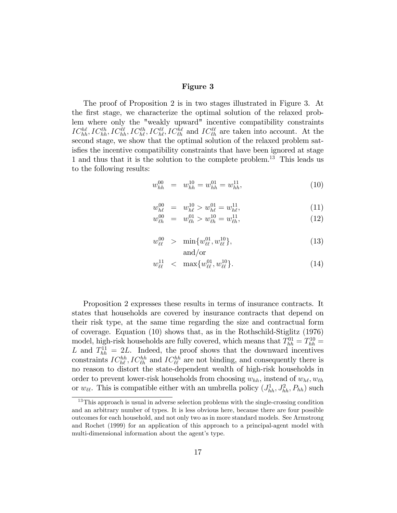#### Figure 3

The proof of Proposition 2 is in two stages illustrated in Figure 3. At the Örst stage, we characterize the optimal solution of the relaxed problem where only the "weakly upward" incentive compatibility constraints  $IC_{hh}^{hh}$ ,  $IC_{hh}^{\ell\ell}$ ,  $IC_{hh}^{\ell\ell}$ ,  $IC_{h\ell}^{\ell\ell}$ ,  $IC_{\ell h}^{\ell\ell}$  and  $IC_{\ell h}^{\ell\ell}$  are taken into account. At the second stage, we show that the optimal solution of the relaxed problem satisfies the incentive compatibility constraints that have been ignored at stage 1 and thus that it is the solution to the complete problem.<sup>13</sup> This leads us to the following results:

$$
w_{hh}^{00} = w_{hh}^{10} = w_{hh}^{01} = w_{hh}^{11}, \tag{10}
$$

$$
w_{h\ell}^{00} = w_{h\ell}^{10} > w_{h\ell}^{01} = w_{h\ell}^{11}, \tag{11}
$$

$$
w_{\ell h}^{00} = w_{\ell h}^{01} > w_{\ell h}^{10} = w_{\ell h}^{11}, \tag{12}
$$

$$
w_{\ell\ell}^{00} > \min\{w_{\ell\ell}^{01}, w_{\ell\ell}^{10}\},\tag{13}
$$
  
and/or

$$
w_{\ell\ell}^{11} \quad < \quad \max\{w_{\ell\ell}^{01}, w_{\ell\ell}^{10}\}. \tag{14}
$$

Proposition 2 expresses these results in terms of insurance contracts. It states that households are covered by insurance contracts that depend on their risk type, at the same time regarding the size and contractual form of coverage. Equation (10) shows that, as in the Rothschild-Stiglitz (1976) model, high-risk households are fully covered, which means that  $T_{hh}^{01} = T_{hh}^{10} =$ L and  $T_{hh}^{11} = 2L$ . Indeed, the proof shows that the downward incentives constraints  $IC_{h\ell}^{hh}$ ,  $IC_{\ell h}^{hh}$  and  $IC_{\ell \ell}^{hh}$  are not binding, and consequently there is no reason to distort the state-dependent wealth of high-risk households in order to prevent lower-risk households from choosing  $w_{hh}$ , instead of  $w_{h\ell}$ ,  $w_{\ell h}$ or  $w_{\ell\ell}$ . This is compatible either with an umbrella policy  $(J_{hh}^1, J_{hh}^2, P_{hh})$  such

<sup>&</sup>lt;sup>13</sup>This approach is usual in adverse selection problems with the single-crossing condition and an arbitrary number of types. It is less obvious here, because there are four possible outcomes for each household, and not only two as in more standard models. See Armstrong and Rochet (1999) for an application of this approach to a principal-agent model with multi-dimensional information about the agent's type.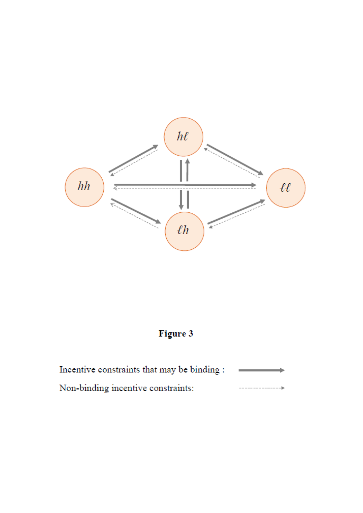

# Figure 3

Incentive constraints that may be binding : Non-binding incentive constraints: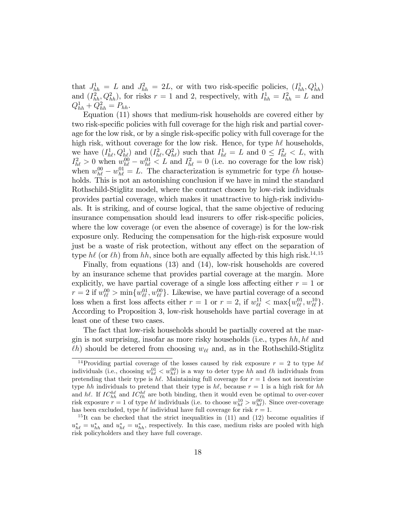that  $J_{hh}^1 = L$  and  $J_{hh}^2 = 2L$ , or with two risk-specific policies,  $(I_{hh}^1, Q_{hh}^1)$ and  $(I_{hh}^2, Q_{hh}^2)$ , for risks  $r = 1$  and 2, respectively, with  $I_{hh}^1 = I_{hh}^2 = L$  and  $Q_{hh}^{1} + Q_{hh}^{2} = P_{hh}.$ 

Equation (11) shows that medium-risk households are covered either by two risk-specific policies with full coverage for the high risk and partial coverage for the low risk, or by a single risk-specific policy with full coverage for the high risk, without coverage for the low risk. Hence, for type  $h\ell$  households, we have  $(I_{h\ell}^1, Q_{h\ell}^1)$  and  $(I_{h\ell}^2, Q_{h\ell}^2)$  such that  $I_{h\ell}^1 = L$  and  $0 \leq I_{h\ell}^2 < L$ , with  $I_{h\ell}^2 > 0$  when  $w_{h\ell}^{00} - w_{h\ell}^{01} < L$  and  $I_{h\ell}^2 = 0$  (i.e. no coverage for the low risk) when  $w_{h\ell}^{00} - w_{h\ell}^{01} = L$ . The characterization is symmetric for type  $\ell h$  households. This is not an astonishing conclusion if we have in mind the standard Rothschild-Stiglitz model, where the contract chosen by low-risk individuals provides partial coverage, which makes it unattractive to high-risk individuals. It is striking, and of course logical, that the same objective of reducing insurance compensation should lead insurers to offer risk-specific policies, where the low coverage (or even the absence of coverage) is for the low-risk exposure only. Reducing the compensation for the high-risk exposure would just be a waste of risk protection, without any effect on the separation of type h $\ell$  (or  $\ell h$ ) from hh, since both are equally affected by this high risk.<sup>14,15</sup>

Finally, from equations (13) and (14), low-risk households are covered by an insurance scheme that provides partial coverage at the margin. More explicitly, we have partial coverage of a single loss affecting either  $r = 1$  or  $r = 2$  if  $w_{\ell\ell}^{00} > \min\{w_{\ell\ell}^{01}, w_{\ell\ell}^{00}\}\.$  Likewise, we have partial coverage of a second loss when a first loss affects either  $r = 1$  or  $r = 2$ , if  $w_{\ell\ell}^{11} < \max\{w_{\ell\ell}^{01}, w_{\ell\ell}^{10}\}.$ According to Proposition 3, low-risk households have partial coverage in at least one of these two cases.

The fact that low-risk households should be partially covered at the margin is not surprising, insofar as more risky households (i.e., types  $hh, h\ell$  and  $\ell$ h) should be detered from choosing  $w_{\ell\ell}$  and, as in the Rothschild-Stiglitz

<sup>&</sup>lt;sup>14</sup>Providing partial coverage of the losses caused by risk exposure  $r = 2$  to type h $\ell$ individuals (i.e., choosing  $w_{h\ell}^{01} < w_{h\ell}^{00}$ ) is a way to deter type hh and  $\ell h$  individuals from pretending that their type is  $h\ell$ . Maintaining full coverage for  $r = 1$  does not incentivize type hh individuals to pretend that their type is  $h\ell$ , because  $r = 1$  is a high risk for hh and hl. If  $IC_{hh}^{h\ell}$  and  $IC_{\ell h}^{h\ell}$  are both binding, then it would even be optimal to over-cover risk exposure  $r = 1$  of type  $h\ell$  individuals (i.e. to choose  $w_{h\ell}^{10} > w_{h\ell}^{00}$ ). Since over-coverage has been excluded, type  $h\ell$  individual have full coverage for risk  $r = 1$ .

<sup>&</sup>lt;sup>15</sup>It can be checked that the strict inequalities in  $(11)$  and  $(12)$  become equalities if  $u_{h\ell}^* = u_{hh}^*$  and  $u_{h\ell}^* = u_{hh}^*$ , respectively. In this case, medium risks are pooled with high risk policyholders and they have full coverage.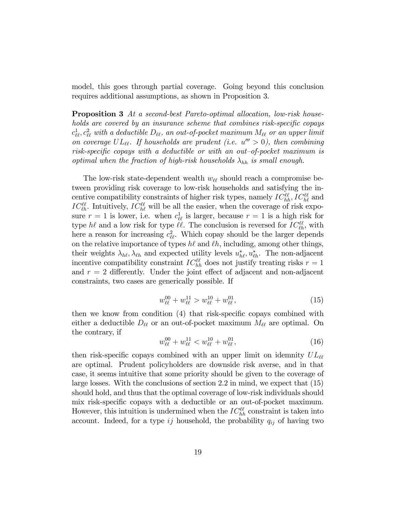model, this goes through partial coverage. Going beyond this conclusion requires additional assumptions, as shown in Proposition 3.

Proposition 3 At a second-best Pareto-optimal allocation, low-risk households are covered by an insurance scheme that combines risk-specific copays  $c_{\ell\ell}^1,c_{\ell\ell}^2$  with a deductible  $D_{\ell\ell},$  an out-of-pocket maximum  $M_{\ell\ell}$  or an upper limit on coverage  $UL_{\ell\ell}$ . If households are prudent (i.e.  $u''' > 0$ ), then combining risk-specific copays with a deductible or with an out-of-pocket maximum is optimal when the fraction of high-risk households  $\lambda_{hh}$  is small enough.

The low-risk state-dependent wealth  $w_{\ell\ell}$  should reach a compromise between providing risk coverage to low-risk households and satisfying the incentive compatibility constraints of higher risk types, namely  $IC^{\ell\ell}_{hh}$ ,  $IC^{\ell\ell}_{hh}$  and  $IC_{\ell h}^{\ell\ell}$ . Intuitively,  $IC_{h\ell}^{\ell\ell}$  will be all the easier, when the coverage of risk exposure  $r = 1$  is lower, i.e. when  $c_{\ell\ell}^1$  is larger, because  $r = 1$  is a high risk for type  $h\ell$  and a low risk for type  $\ell\ell$ . The conclusion is reversed for  $IC_{\ell h}^{\ell\ell}$ , with here a reason for increasing  $c_{\ell\ell}^2$ . Which copay should be the larger depends on the relative importance of types  $h\ell$  and  $\ell h$ , including, among other things, their weights  $\lambda_{h\ell}, \lambda_{\ell h}$  and expected utility levels  $u_{h\ell}^*, u_{\ell h}^*$ . The non-adjacent incentive compatibility constraint  $IC^{\ell\ell}_{hh}$  does not justify treating risks  $r = 1$ and  $r = 2$  differently. Under the joint effect of adjacent and non-adjacent constraints, two cases are generically possible. If

$$
w_{\ell\ell}^{00} + w_{\ell\ell}^{11} > w_{\ell\ell}^{10} + w_{\ell\ell}^{01},\tag{15}
$$

then we know from condition  $(4)$  that risk-specific copays combined with either a deductible  $D_{\ell\ell}$  or an out-of-pocket maximum  $M_{\ell\ell}$  are optimal. On the contrary, if

$$
w_{\ell\ell}^{00} + w_{\ell\ell}^{11} < w_{\ell\ell}^{10} + w_{\ell\ell}^{01},\tag{16}
$$

then risk-specific copays combined with an upper limit on idemnity  $UL_{\ell\ell}$ are optimal. Prudent policyholders are downside risk averse, and in that case, it seems intuitive that some priority should be given to the coverage of large losses. With the conclusions of section 2.2 in mind, we expect that (15) should hold, and thus that the optimal coverage of low-risk individuals should mix risk-specific copays with a deductible or an out-of-pocket maximum. However, this intuition is undermined when the  $IC^{\ell\ell}_{hh}$  constraint is taken into account. Indeed, for a type ij household, the probability  $q_{ij}$  of having two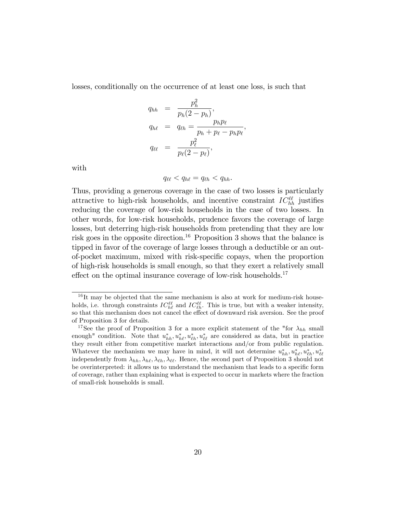losses, conditionally on the occurrence of at least one loss, is such that

$$
q_{hh} = \frac{p_h^2}{p_h(2 - p_h)},
$$
  
\n
$$
q_{h\ell} = q_{\ell h} = \frac{p_h p_{\ell}}{p_h + p_{\ell} - p_h p_{\ell}},
$$
  
\n
$$
q_{\ell \ell} = \frac{p_{\ell}^2}{p_{\ell}(2 - p_{\ell})},
$$

with

$$
q_{\ell\ell} < q_{h\ell} = q_{\ell h} < q_{hh}.
$$

Thus, providing a generous coverage in the case of two losses is particularly attractive to high-risk households, and incentive constraint  $IC^{\ell\ell}_{hh}$  justifies reducing the coverage of low-risk households in the case of two losses. In other words, for low-risk households, prudence favors the coverage of large losses, but deterring high-risk households from pretending that they are low risk goes in the opposite direction.<sup>16</sup> Proposition 3 shows that the balance is tipped in favor of the coverage of large losses through a deductible or an outof-pocket maximum, mixed with risk-specific copays, when the proportion of high-risk households is small enough, so that they exert a relatively small effect on the optimal insurance coverage of low-risk households.<sup>17</sup>

 $16$ It may be objected that the same mechanism is also at work for medium-risk households, i.e. through constraints  $IC_{h\ell}^{\ell\ell}$  and  $IC_{\ell h}^{\ell\ell}$ . This is true, but with a weaker intensity, so that this mechanism does not cancel the effect of downward risk aversion. See the proof of Proposition 3 for details.

<sup>&</sup>lt;sup>17</sup>See the proof of Proposition 3 for a more explicit statement of the "for  $\lambda_{hh}$  small enough" condition. Note that  $u_{hh}^*, u_{hh}^*, u_{\ell h}^*, u_{\ell \ell}^*$  are considered as data, but in practice they result either from competitive market interactions and/or from public regulation. Whatever the mechanism we may have in mind, it will not determine  $u_{hh}^*, u_{h\ell}^*, u_{\ell h}^*, u_{\ell \ell}^*$ independently from  $\lambda_{hh}, \lambda_{hl}, \lambda_{\ell l}$ ,  $\lambda_{\ell l}$ . Hence, the second part of Proposition 3 should not be overinterpreted: it allows us to understand the mechanism that leads to a specific form of coverage, rather than explaining what is expected to occur in markets where the fraction of small-risk households is small.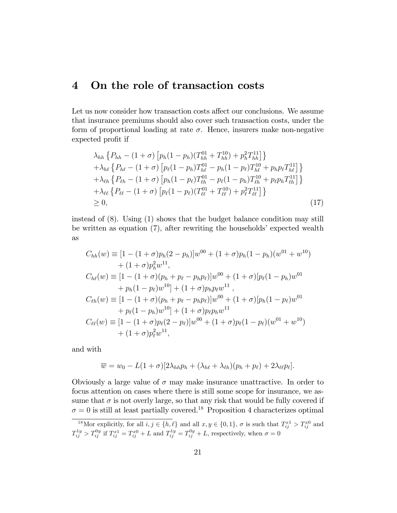# 4 On the role of transaction costs

Let us now consider how transaction costs affect our conclusions. We assume that insurance premiums should also cover such transaction costs, under the form of proportional loading at rate  $\sigma$ . Hence, insurers make non-negative expected profit if

$$
\lambda_{hh} \left\{ P_{hh} - (1 + \sigma) \left[ p_h (1 - p_h) (T_{hh}^{01} + T_{hh}^{10}) + p_h^2 T_{hh}^{11} \right] \right\} \n+ \lambda_{h\ell} \left\{ P_{h\ell} - (1 + \sigma) \left[ p_\ell (1 - p_h) T_{h\ell}^{01} - p_h (1 - p_\ell) T_{h\ell}^{10} + p_h p_\ell T_{h\ell}^{11} \right] \right\} \n+ \lambda_{\ell h} \left\{ P_{\ell h} - (1 + \sigma) \left[ p_h (1 - p_\ell) T_{\ell h}^{01} - p_\ell (1 - p_h) T_{\ell h}^{10} + p_\ell p_h T_{\ell h}^{11} \right] \right\} \n+ \lambda_{\ell\ell} \left\{ P_{\ell\ell} - (1 + \sigma) \left[ p_\ell (1 - p_\ell) (T_{\ell\ell}^{01} + T_{\ell\ell}^{10}) + p_\ell^2 T_{\ell\ell}^{11} \right] \right\} \n\geq 0,
$$
\n(17)

instead of (8). Using (1) shows that the budget balance condition may still be written as equation  $(7)$ , after rewriting the households' expected wealth as

$$
C_{hh}(w) = [1 - (1 + \sigma)p_h(2 - p_h)]w^{00} + (1 + \sigma)p_h(1 - p_h)(w^{01} + w^{10})
$$
  
+ (1 + \sigma)p\_h^2w^{11},  

$$
C_{h\ell}(w) = [1 - (1 + \sigma)(p_h + p_\ell - p_h p_\ell)]w^{00} + (1 + \sigma)[p_\ell(1 - p_h)w^{01}
$$
  
+ 
$$
p_h(1 - p_\ell)w^{10}] + (1 + \sigma)p_h p_\ell w^{11},C_{\ell h}(w) = [1 - (1 + \sigma)(p_h + p_\ell - p_h p_\ell)]w^{00} + (1 + \sigma)[p_h(1 - p_\ell)w^{01}
$$
  
+ 
$$
p_\ell(1 - p_h)w^{10}] + (1 + \sigma)p_\ell p_h w^{11}
$$
  

$$
C_{\ell\ell}(w) = [1 - (1 + \sigma)p_\ell(2 - p_\ell)]w^{00} + (1 + \sigma)p_\ell(1 - p_\ell)(w^{01} + w^{10})
$$
  
+ (1 + \sigma)p\_\ell^2w^{11},

and with

$$
\overline{w} = w_0 - L(1+\sigma)[2\lambda_{hh}p_h + (\lambda_{h\ell} + \lambda_{\ell h})(p_h + p_\ell) + 2\lambda_{\ell\ell}p_\ell].
$$

Obviously a large value of  $\sigma$  may make insurance unattractive. In order to focus attention on cases where there is still some scope for insurance, we assume that  $\sigma$  is not overly large, so that any risk that would be fully covered if  $\sigma = 0$  is still at least partially covered.<sup>18</sup> Proposition 4 characterizes optimal

<sup>&</sup>lt;sup>18</sup>Mor explicitly, for all  $i, j \in \{h, \ell\}$  and all  $x, y \in \{0, 1\}$ ,  $\sigma$  is such that  $T_{ij}^{x_1} > T_{ij}^{x_0}$  and  $T_{ij}^{1y} > T_{ij}^{0y}$  if  $T_{ij}^{x1} = T_{ij}^{x0} + L$  and  $T_{ij}^{1y} = T_{ij}^{0y} + L$ , respectively, when  $\sigma = 0$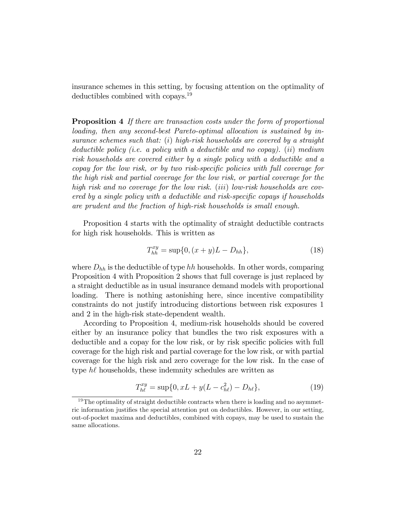insurance schemes in this setting, by focusing attention on the optimality of deductibles combined with copays.<sup>19</sup>

Proposition 4 If there are transaction costs under the form of proportional loading, then any second-best Pareto-optimal allocation is sustained by insurance schemes such that: (i) high-risk households are covered by a straight deductible policy (i.e. a policy with a deductible and no copay). (ii) medium risk households are covered either by a single policy with a deductible and a copay for the low risk, or by two risk-specific policies with full coverage for the high risk and partial coverage for the low risk, or partial coverage for the high risk and no coverage for the low risk. (iii) low-risk households are covered by a single policy with a deductible and risk-specific copays if households are prudent and the fraction of high-risk households is small enough.

Proposition 4 starts with the optimality of straight deductible contracts for high risk households. This is written as

$$
T_{hh}^{xy} = \sup\{0, (x+y)L - D_{hh}\},\tag{18}
$$

where  $D_{hh}$  is the deductible of type hh households. In other words, comparing Proposition 4 with Proposition 2 shows that full coverage is just replaced by a straight deductible as in usual insurance demand models with proportional loading. There is nothing astonishing here, since incentive compatibility constraints do not justify introducing distortions between risk exposures 1 and 2 in the high-risk state-dependent wealth.

According to Proposition 4, medium-risk households should be covered either by an insurance policy that bundles the two risk exposures with a deductible and a copay for the low risk, or by risk specific policies with full coverage for the high risk and partial coverage for the low risk, or with partial coverage for the high risk and zero coverage for the low risk. In the case of type  $h\ell$  households, these indemnity schedules are written as

$$
T_{h\ell}^{xy} = \sup\{0, xL + y(L - c_{h\ell}^2) - D_{h\ell}\},\tag{19}
$$

 $19$ The optimality of straight deductible contracts when there is loading and no asymmetric information justifies the special attention put on deductibles. However, in our setting, out-of-pocket maxima and deductibles, combined with copays, may be used to sustain the same allocations.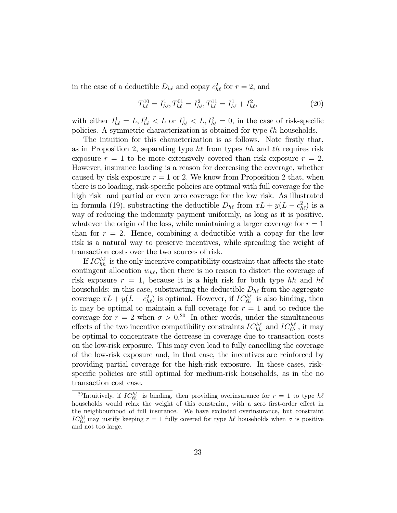in the case of a deductible  $D_{h\ell}$  and copay  $c_{h\ell}^2$  for  $r = 2$ , and

$$
T_{h\ell}^{10} = I_{h\ell}^1, T_{h\ell}^{01} = I_{h\ell}^2, T_{h\ell}^{11} = I_{h\ell}^1 + I_{h\ell}^2,
$$
\n(20)

with either  $I_{h\ell}^1 = L, I_{h\ell}^2 < L$  or  $I_{h\ell}^1 < L, I_{h\ell}^2 = 0$ , in the case of risk-specific policies. A symmetric characterization is obtained for type  $\ell h$  households.

The intuition for this characterization is as follows. Note firstly that, as in Proposition 2, separating type  $h\ell$  from types hh and  $\ell h$  requires risk exposure  $r = 1$  to be more extensively covered than risk exposure  $r = 2$ . However, insurance loading is a reason for decreasing the coverage, whether caused by risk exposure  $r = 1$  or 2. We know from Proposition 2 that, when there is no loading, risk-specific policies are optimal with full coverage for the high risk and partial or even zero coverage for the low risk. As illustrated in formula (19), substracting the deductible  $D_{h\ell}$  from  $xL + y(L - c_{h\ell}^2)$  is a way of reducing the indemnity payment uniformly, as long as it is positive, whatever the origin of the loss, while maintaining a larger coverage for  $r = 1$ than for  $r = 2$ . Hence, combining a deductible with a copay for the low risk is a natural way to preserve incentives, while spreading the weight of transaction costs over the two sources of risk.

If  $IC_{hh}^{hh}$  is the only incentive compatibility constraint that affects the state contingent allocation  $w_{h\ell}$ , then there is no reason to distort the coverage of risk exposure  $r = 1$ , because it is a high risk for both type hh and he households: in this case, substracting the deductible  $D_{h\ell}$  from the aggregate coverage  $xL + y(L - c_{h\ell}^2)$  is optimal. However, if  $IC_{\ell h}^{h\ell}$  is also binding, then it may be optimal to maintain a full coverage for  $r = 1$  and to reduce the coverage for  $r = 2$  when  $\sigma > 0^{20}$  In other words, under the simultaneous effects of the two incentive compatibility constraints  $IC_{hh}^{h\ell}$  and  $IC_{\ell h}^{h\ell}$ , it may be optimal to concentrate the decrease in coverage due to transaction costs on the low-risk exposure. This may even lead to fully cancelling the coverage of the low-risk exposure and, in that case, the incentives are reinforced by providing partial coverage for the high-risk exposure. In these cases, riskspecific policies are still optimal for medium-risk households, as in the no transaction cost case.

<sup>&</sup>lt;sup>20</sup>Intuitively, if  $IC_{\ell h}^{h\ell}$  is binding, then providing overinsurance for  $r = 1$  to type  $h\ell$ households would relax the weight of this constraint, with a zero first-order effect in the neighbourhood of full insurance. We have excluded overinsurance, but constraint  $IC_{\ell h}^{h\ell}$  may justify keeping  $r = 1$  fully covered for type  $h\ell$  households when  $\sigma$  is positive and not too large.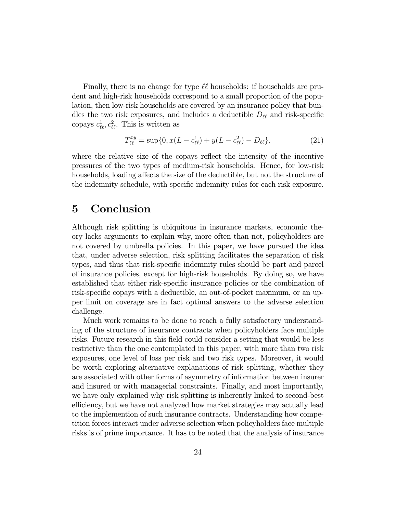Finally, there is no change for type  $\ell\ell$  households: if households are prudent and high-risk households correspond to a small proportion of the population, then low-risk households are covered by an insurance policy that bundles the two risk exposures, and includes a deductible  $D_{\ell\ell}$  and risk-specific copays  $c_{\ell\ell}^1, c_{\ell\ell}^2$ . This is written as

$$
T_{\ell\ell}^{xy} = \sup\{0, x(L - c_{\ell\ell}^1) + y(L - c_{\ell\ell}^2) - D_{\ell\ell}\},\tag{21}
$$

where the relative size of the copays reflect the intensity of the incentive pressures of the two types of medium-risk households. Hence, for low-risk households, loading affects the size of the deductible, but not the structure of the indemnity schedule, with specific indemnity rules for each risk exposure.

# 5 Conclusion

Although risk splitting is ubiquitous in insurance markets, economic theory lacks arguments to explain why, more often than not, policyholders are not covered by umbrella policies. In this paper, we have pursued the idea that, under adverse selection, risk splitting facilitates the separation of risk types, and thus that risk-specific indemnity rules should be part and parcel of insurance policies, except for high-risk households. By doing so, we have established that either risk-specific insurance policies or the combination of risk-specific copays with a deductible, an out-of-pocket maximum, or an upper limit on coverage are in fact optimal answers to the adverse selection challenge.

Much work remains to be done to reach a fully satisfactory understanding of the structure of insurance contracts when policyholders face multiple risks. Future research in this field could consider a setting that would be less restrictive than the one contemplated in this paper, with more than two risk exposures, one level of loss per risk and two risk types. Moreover, it would be worth exploring alternative explanations of risk splitting, whether they are associated with other forms of asymmetry of information between insurer and insured or with managerial constraints. Finally, and most importantly, we have only explained why risk splitting is inherently linked to second-best efficiency, but we have not analyzed how market strategies may actually lead to the implemention of such insurance contracts. Understanding how competition forces interact under adverse selection when policyholders face multiple risks is of prime importance. It has to be noted that the analysis of insurance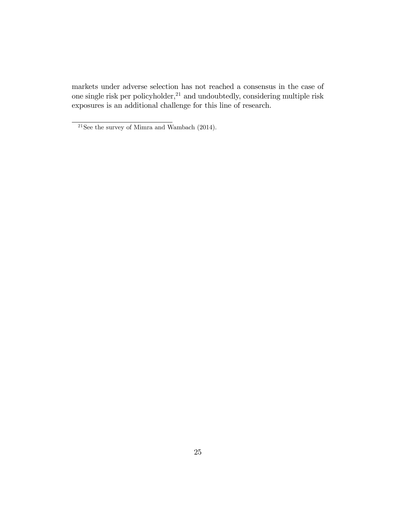markets under adverse selection has not reached a consensus in the case of one single risk per policyholder,<sup>21</sup> and undoubtedly, considering multiple risk exposures is an additional challenge for this line of research.

 $^{21}\mathrm{See}$  the survey of Mimra and Wambach (2014).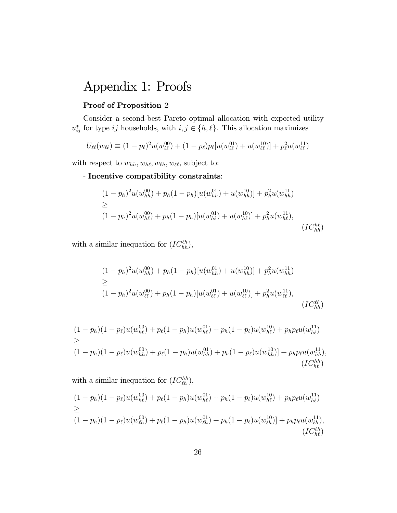# Appendix 1: Proofs

## Proof of Proposition 2

Consider a second-best Pareto optimal allocation with expected utility  $u_{ij}^*$  for type ij households, with  $i, j \in \{h, \ell\}$ . This allocation maximizes

$$
U_{\ell\ell}(w_{\ell\ell}) \equiv (1 - p_{\ell})^2 u(w_{\ell\ell}^{00}) + (1 - p_{\ell}) p_{\ell}[u(w_{\ell\ell}^{01}) + u(w_{\ell\ell}^{10})] + p_{\ell}^2 u(w_{\ell\ell}^{11})
$$

with respect to  $w_{hh}, w_{h\ell}, w_{\ell h}, w_{\ell \ell}$ , subject to:

## - Incentive compatibility constraints:

$$
(1 - p_h)^2 u(w_{hh}^{00}) + p_h(1 - p_h)[u(w_{hh}^{01}) + u(w_{hh}^{10})] + p_h^2 u(w_{hh}^{11})
$$
  
\n
$$
\geq (1 - p_h)^2 u(w_{hl}^{00}) + p_h(1 - p_h)[u(w_{hl}^{01}) + u(w_{hl}^{10})] + p_h^2 u(w_{hl}^{11}),
$$
  
\n
$$
(IC_{hh}^{hl})
$$

with a similar inequation for  $(IC_{hh}^{\ell h}),$ 

$$
(1 - p_h)^2 u(w_{hh}^{00}) + p_h(1 - p_h)[u(w_{hh}^{01}) + u(w_{hh}^{10})] + p_h^2 u(w_{hh}^{11})
$$
  
\n
$$
\geq (1 - p_h)^2 u(w_{\ell\ell}^{00}) + p_h(1 - p_h)[u(w_{\ell\ell}^{01}) + u(w_{\ell\ell}^{10})] + p_h^2 u(w_{\ell\ell}^{11}),
$$
  
\n
$$
(IC_{hh}^{\ell\ell})
$$

$$
(1 - p_h)(1 - p_\ell)u(w_{h\ell}^{00}) + p_\ell(1 - p_h)u(w_{h\ell}^{01}) + p_h(1 - p_\ell)u(w_{h\ell}^{10}) + p_h p_\ell u(w_{h\ell}^{11})
$$
  
\n
$$
\geq (1 - p_h)(1 - p_\ell)u(w_{hh}^{00}) + p_\ell(1 - p_h)u(w_{hh}^{01}) + p_h(1 - p_\ell)u(w_{hh}^{10}) + p_h p_\ell u(w_{hh}^{11}),
$$
  
\n
$$
(IC_{h\ell}^{hh})
$$

with a similar inequation for  $(IC_{\ell h}^{hh})$ ,

$$
(1 - p_h)(1 - p_\ell)u(w_{h\ell}^{00}) + p_\ell(1 - p_h)u(w_{h\ell}^{01}) + p_h(1 - p_\ell)u(w_{h\ell}^{10}) + p_h p_\ell u(w_{h\ell}^{11})
$$
  
\n
$$
\geq (1 - p_h)(1 - p_\ell)u(w_{\ell h}^{00}) + p_\ell(1 - p_h)u(w_{\ell h}^{01}) + p_h(1 - p_\ell)u(w_{\ell h}^{10}) + p_h p_\ell u(w_{\ell h}^{11}),
$$
  
\n
$$
(IC_{h\ell}^{0h})
$$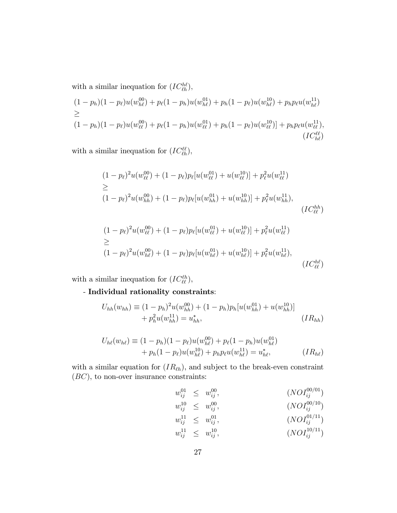with a similar inequation for  $(IC_{\ell h}^{h\ell}),$ 

$$
(1 - p_h)(1 - p_\ell)u(w_{h\ell}^{00}) + p_\ell(1 - p_h)u(w_{h\ell}^{01}) + p_h(1 - p_\ell)u(w_{h\ell}^{10}) + p_h p_\ell u(w_{h\ell}^{11})
$$
  
\n
$$
\geq (1 - p_h)(1 - p_\ell)u(w_{\ell\ell}^{00}) + p_\ell(1 - p_h)u(w_{\ell\ell}^{01}) + p_h(1 - p_\ell)u(w_{\ell\ell}^{10}) + p_h p_\ell u(w_{\ell\ell}^{11}),
$$
  
\n
$$
(IC_{h\ell}^{\ell\ell})
$$

with a similar inequation for  $(IC^{\ell\ell}_{\ell h}),$ 

$$
(1 - p_{\ell})^{2} u(w_{\ell\ell}^{00}) + (1 - p_{\ell}) p_{\ell}[u(w_{\ell\ell}^{01}) + u(w_{\ell\ell}^{10})] + p_{\ell}^{2} u(w_{\ell\ell}^{11})
$$
  
\n
$$
\geq (1 - p_{\ell})^{2} u(w_{hh}^{00}) + (1 - p_{\ell}) p_{\ell}[u(w_{hh}^{01}) + u(w_{hh}^{10})] + p_{\ell}^{2} u(w_{hh}^{11}),
$$
  
\n
$$
(IC_{\ell\ell}^{hh})
$$

$$
(1 - p_{\ell})^{2}u(w_{\ell\ell}^{00}) + (1 - p_{\ell})p_{\ell}[u(w_{\ell\ell}^{01}) + u(w_{\ell\ell}^{10})] + p_{\ell}^{2}u(w_{\ell\ell}^{11})
$$
  
\n
$$
\geq (1 - p_{\ell})^{2}u(w_{h\ell}^{00}) + (1 - p_{\ell})p_{\ell}[u(w_{h\ell}^{01}) + u(w_{h\ell}^{10})] + p_{\ell}^{2}u(w_{h\ell}^{11}),
$$
  
\n
$$
(IC_{\ell\ell}^{h\ell})
$$

with a similar inequation for  $(IC_{\ell\ell}^{\ell h})$ ,

- Individual rationality constraints:

$$
U_{hh}(w_{hh}) \equiv (1 - p_h)^2 u(w_{hh}^{00}) + (1 - p_h) p_h [u(w_{hh}^{01}) + u(w_{hh}^{10})]
$$
  
+  $p_h^2 u(w_{hh}^{11}) = u_{hh}^*,$  (IR<sub>hh</sub>)

$$
U_{h\ell}(w_{h\ell}) \equiv (1 - p_h)(1 - p_\ell)u(w_{h\ell}^{00}) + p_\ell(1 - p_h)u(w_{h\ell}^{01})
$$
  
+  $p_h(1 - p_\ell)u(w_{h\ell}^{10}) + p_h p_\ell u(w_{h\ell}^{11}) = u_{h\ell}^*,$  (IR<sub>h\ell</sub>)

with a similar equation for  $(IR_{\ell h})$ , and subject to the break-even constraint  $(BC)$ , to non-over insurance constraints:

$$
w_{ij}^{01} \leq w_{ij}^{00}, \qquad (NOI_{ij}^{00/01})
$$
  
\n
$$
w_{ij}^{10} \leq w_{ij}^{00}, \qquad (NOI_{ij}^{00/10})
$$
  
\n
$$
w_{ij}^{11} \leq w_{ij}^{01}, \qquad (NOI_{ij}^{01/11})
$$
  
\n
$$
w_{ij}^{11} \leq w_{ij}^{10}, \qquad (NOI_{ij}^{10/11})
$$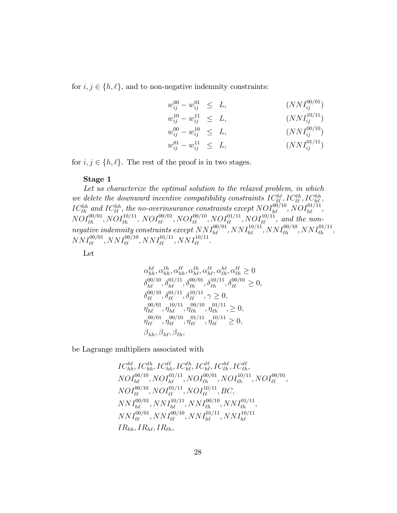for  $i, j \in \{h, \ell\}$ , and to non-negative indemnity constraints:

$$
w_{ij}^{00} - w_{ij}^{01} \leq L,
$$
  
\n
$$
w_{ij}^{10} - w_{ij}^{11} \leq L,
$$
  
\n
$$
w_{ij}^{00} - w_{ij}^{10} \leq L,
$$
  
\n
$$
w_{ij}^{00} - w_{ij}^{10} \leq L,
$$
  
\n
$$
w_{ij}^{01} - w_{ij}^{11} \leq L,
$$
  
\n
$$
(NNI_{ij}^{00/10})
$$
  
\n
$$
w_{ij}^{01} - w_{ij}^{11} \leq L,
$$
  
\n
$$
(NNI_{ij}^{01/11})
$$

for  $i, j \in \{h, \ell\}$ . The rest of the proof is in two stages.

#### Stage 1

Let us characterize the optimal solution to the relaxed problem, in which we delete the downward incentive compatibility constraints  $IC_{\ell\ell}^{hh}$ ,  $IC_{\ell\ell}^{th}$ ,  $IC_{h\ell}^{hh}$ ,  $IC_{\ell h}^{hh}$  and  $IC_{\ell \ell}^{hh}$ , the no-overinsurance constraints except  $NOI_{h\ell}^{00/10}, NOI_{h\ell}^{01/11},$  $NOI_{\ell h}^{00/01}, NOI_{\ell h}^{10/11}, NOI_{\ell \ell}^{00/01}, NOI_{\ell \ell}^{00/10}, NOI_{\ell \ell}^{01/11}, NOI_{\ell \ell}^{10/11}, and\ the\ non$  $negative\text{ }intempty\text{ }constraints\text{ }except\text{ }NNI_{h\ell}^{00/01},\text{ }NNI_{h\ell}^{10/11},\text{ }NNI_{\ell h}^{00/10},\text{ }NNI_{\ell h}^{01/11},$  $NNI_{\ell\ell}^{00/01}, NNI_{\ell\ell}^{00/10}, NNI_{\ell\ell}^{01/11}, NNI_{\ell\ell}^{10/11}.$ 

Let

$$
\alpha_{hh}^{h\ell}, \alpha_{hh}^{\ell h}, \alpha_{hh}^{\ell\ell}, \alpha_{h\ell}^{\ell h}, \alpha_{h\ell}^{\ell\ell}, \alpha_{h\ell}^{\ell\ell}, \alpha_{\ell h}^{\ell\ell}, \alpha_{\ell h}^{\ell\ell} \ge 0
$$
  
\n
$$
\delta_{h\ell}^{00/10}, \delta_{h\ell}^{01/11}, \delta_{\ell h}^{00/01}, \delta_{\ell h}^{10/11}, \delta_{\ell \ell}^{00/01} \ge 0,
$$
  
\n
$$
\delta_{\ell\ell}^{00/10}, \delta_{\ell\ell}^{01/11}, \delta_{\ell\ell}^{10/11}, \gamma \ge 0,
$$
  
\n
$$
\eta_{h\ell}^{00/01}, \eta_{h\ell}^{10/11}, \eta_{\ell h}^{00/10}, \eta_{\ell h}^{01/11}, \ge 0,
$$
  
\n
$$
\eta_{\ell\ell}^{00/01}, \eta_{\ell\ell}^{00/10}, \eta_{\ell\ell}^{01/11}, \eta_{\ell\ell}^{10/11} \ge 0,
$$
  
\n
$$
\beta_{hh}, \beta_{h\ell}, \beta_{\ell h},
$$

be Lagrange multipliers associated with

$$
IC_{hh}^{hl}, IC_{hh}^{\ell\ell}, IC_{hh}^{\ell\ell}, IC_{h\ell}^{\ell\ell}, IC_{\ell\ell}^{\ell\ell}, IC_{\ell h}^{\ell\ell}, IC_{\ell h}^{\ell\ell},\newline NOI_{h\ell}^{00/10}, NOI_{h\ell}^{01/11}, NOI_{\ell h}^{00/01}, NOI_{\ell h}^{10/11}, NOI_{\ell\ell}^{00/01},\newline NOI_{\ell\ell}^{00/10}, NOI_{\ell\ell}^{01/11}, NOI_{\ell\ell}^{10/11}, BC,\newline NNI_{h\ell}^{00/01}, NNI_{h\ell}^{10/11}, NNI_{\ell h}^{00/10}, NNI_{\ell h}^{01/11},\newline NNI_{\ell\ell}^{00/01}, NNI_{\ell\ell}^{00/10}, NNI_{h\ell}^{10/11}, NNI_{h\ell}^{10/11},\newline NNI_{\ell\ell}^{00/01}, NNI_{\ell\ell}^{00/10}, NNI_{h\ell}^{10/11}, NNI_{h\ell}^{10/11}
$$
\n
$$
IR_{hh}, IR_{h\ell}, IR_{\ell h},
$$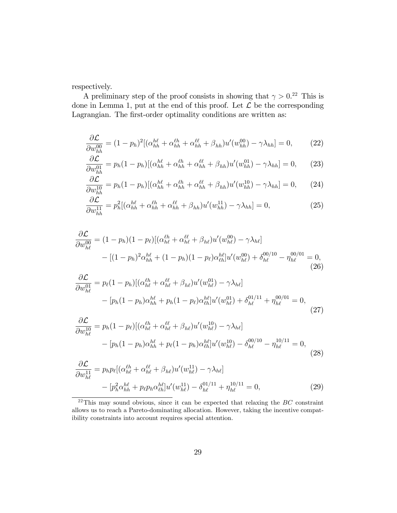respectively.

A preliminary step of the proof consists in showing that  $\gamma > 0.^{22}$  This is done in Lemma 1, put at the end of this proof. Let  $\overline{\mathcal{L}}$  be the corresponding Lagrangian. The first-order optimality conditions are written as:

$$
\frac{\partial \mathcal{L}}{\partial w_{hh}^{00}} = (1 - p_h)^2 [(\alpha_{hh}^{h\ell} + \alpha_{hh}^{\ell h} + \alpha_{hh}^{\ell \ell} + \beta_{hh}) u'(w_{hh}^{00}) - \gamma \lambda_{hh}] = 0, \qquad (22)
$$

$$
\frac{\partial \mathcal{L}}{\partial w_{hh}^{01}} = p_h (1 - p_h) [(\alpha_{hh}^{h\ell} + \alpha_{hh}^{\ell\ell} + \alpha_{hh}^{\ell\ell} + \beta_{hh}) u'(w_{hh}^{01}) - \gamma \lambda_{hh}] = 0, \qquad (23)
$$

$$
\frac{\partial \mathcal{L}}{\partial w_{hh}^{10}} = p_h (1 - p_h) [(\alpha_{hh}^{h\ell} + \alpha_{hh}^{\ell\ell} + \alpha_{hh}^{\ell\ell} + \beta_{hh}) u'(w_{hh}^{10}) - \gamma \lambda_{hh}] = 0, \qquad (24)
$$

$$
\frac{\partial \mathcal{L}}{\partial w_{hh}^{11}} = p_h^2 [(\alpha_{hh}^{h\ell} + \alpha_{hh}^{\ell h} + \alpha_{hh}^{\ell \ell} + \beta_{hh}) u'(w_{hh}^{11}) - \gamma \lambda_{hh}] = 0, \qquad (25)
$$

$$
\frac{\partial \mathcal{L}}{\partial w_{h\ell}^{00}} = (1 - p_h)(1 - p_\ell)[(\alpha_{h\ell}^{\ell h} + \alpha_{h\ell}^{\ell \ell} + \beta_{h\ell})u'(w_{h\ell}^{00}) - \gamma \lambda_{h\ell}] \n- [(1 - p_h)^2 \alpha_{hh}^{h\ell} + (1 - p_h)(1 - p_\ell) \alpha_{\ell h}^{h\ell}]u'(w_{h\ell}^{00}) + \delta_{h\ell}^{00/10} - \eta_{h\ell}^{00/01} = 0,
$$
\n(26)

$$
\frac{\partial \mathcal{L}}{\partial w_{h\ell}^{01}} = p_{\ell} (1 - p_h) [(\alpha_{h\ell}^{\ell h} + \alpha_{h\ell}^{\ell \ell} + \beta_{h\ell}) u'(w_{h\ell}^{01}) - \gamma \lambda_{h\ell}]
$$
  
- 
$$
[p_h (1 - p_h) \alpha_{hh}^{h\ell} + p_h (1 - p_{\ell}) \alpha_{\ell h}^{h\ell}] u'(w_{h\ell}^{01}) + \delta_{h\ell}^{01/11} + \eta_{h\ell}^{00/01} = 0,
$$
(27)

$$
\frac{\partial \mathcal{L}}{\partial w_{h\ell}^{10}} = p_h (1 - p_\ell) [(\alpha_{h\ell}^{\ell h} + \alpha_{h\ell}^{\ell \ell} + \beta_{h\ell}) u'(w_{h\ell}^{10}) - \gamma \lambda_{h\ell}] \n- [p_h (1 - p_h) \alpha_{hh}^{h\ell} + p_\ell (1 - p_h) \alpha_{\ell h}^{h\ell}] u'(w_{h\ell}^{10}) - \delta_{h\ell}^{00/10} - \eta_{h\ell}^{10/11} = 0,
$$
\n(28)

$$
\frac{\partial \mathcal{L}}{\partial w_{h\ell}^{11}} = p_h p_\ell [(\alpha_{h\ell}^{\ell h} + \alpha_{h\ell}^{\ell \ell} + \beta_{h\ell}) u'(w_{h\ell}^{11}) - \gamma \lambda_{h\ell}] \n- [p_h^2 \alpha_{hh}^{h\ell} + p_\ell p_h \alpha_{\ell h}^{h\ell}] u'(w_{h\ell}^{11}) - \delta_{h\ell}^{01/11} + \eta_{h\ell}^{10/11} = 0,
$$
\n(29)

 $22$ This may sound obvious, since it can be expected that relaxing the BC constraint allows us to reach a Pareto-dominating allocation. However, taking the incentive compatibility constraints into account requires special attention.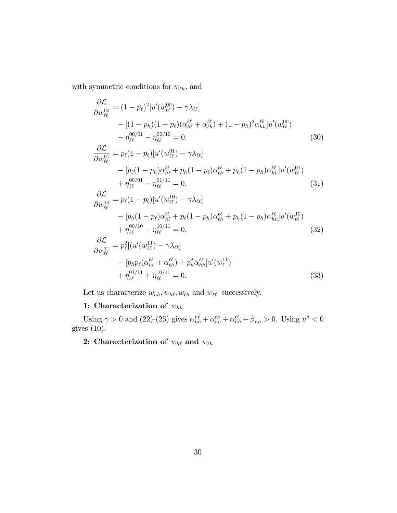with symmetric conditions for  $w_{\ell h}$ , and

$$
\frac{\partial \mathcal{L}}{\partial w_{\ell\ell}^{00}} = (1 - p_{\ell})^{2} [u'(w_{\ell\ell}^{00}) - \gamma \lambda_{\ell\ell}] \n- [(1 - p_{h})(1 - p_{\ell})(\alpha_{h\ell}^{\ell\ell} + \alpha_{\ell h}^{\ell\ell}) + (1 - p_{h})^{2} \alpha_{hh}^{\ell\ell} ]u'(w_{\ell\ell}^{00}) \n- \eta_{\ell\ell}^{00/01} - \eta_{\ell\ell}^{00/10} = 0, \qquad (30) \n\frac{\partial \mathcal{L}}{\partial w_{\ell\ell}^{01}} = p_{\ell}(1 - p_{\ell}) [u'(w_{\ell\ell}^{01}) - \gamma \lambda_{\ell\ell}] \n- [p_{\ell}(1 - p_{h}) \alpha_{h\ell}^{\ell\ell} + p_{h}(1 - p_{\ell}) \alpha_{\ell h}^{\ell\ell} + p_{h}(1 - p_{h}) \alpha_{hh}^{\ell\ell}]u'(w_{\ell\ell}^{01}) \n+ \eta_{\ell\ell}^{00/01} - \eta_{\ell\ell}^{01/11} = 0, \qquad (31) \n\frac{\partial \mathcal{L}}{\partial w_{\ell\ell}^{10}} = p_{\ell}(1 - p_{\ell}) [u'(w_{\ell\ell}^{10}) - \gamma \lambda_{\ell\ell}] \n- [p_{h}(1 - p_{\ell}) \alpha_{h\ell}^{\ell\ell} + p_{\ell}(1 - p_{h}) \alpha_{\ell h}^{\ell\ell} + p_{h}(1 - p_{h}) \alpha_{hh}^{\ell\ell}]u'(w_{\ell\ell}^{10}) \n+ \eta_{\ell\ell}^{00/10} - \eta_{\ell\ell}^{10/11} = 0, \qquad (32) \n\frac{\partial \mathcal{L}}{\partial w_{\ell\ell}^{11}} = p_{\ell}^{2} [(u'(w_{\ell\ell}^{11}) - \gamma \lambda_{\ell\ell}] \n- [p_{h} p_{\ell}(\alpha_{h\ell}^{\ell\ell} + \alpha_{\ell h}^{\ell\ell}) + p_{h}^{2} \alpha_{hh}^{\ell\ell}]u'(w_{\ell}^{11})
$$

$$
+\eta_{\ell\ell}^{01/11} + \eta_{\ell\ell}^{10/11} = 0.
$$
\n(33)

Let us characterize  $w_{hh}, w_{h\ell}, w_{\ell h}$  and  $w_{\ell\ell}$  successively.

# 1: Characterization of  $w_{hh}$

Using  $\gamma > 0$  and (22)-(25) gives  $\alpha_{hh}^{h\ell} + \alpha_{hh}^{\ell\ell} + \alpha_{hh}^{\ell\ell} + \beta_{hh} > 0$ . Using  $u'' < 0$ gives (10).

# 2: Characterization of  $w_{h\ell}$  and  $w_{\ell h}$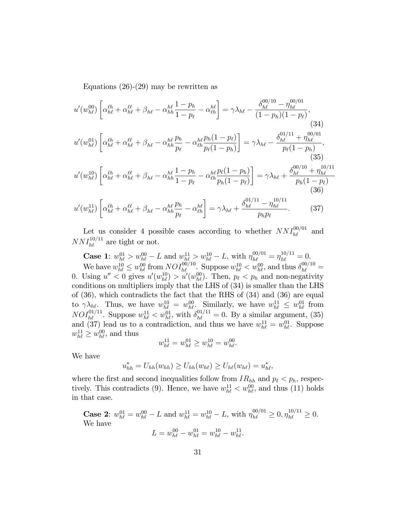Equations (26)-(29) may be rewritten as

$$
u'(w_{h\ell}^{00})\left[\alpha_{h\ell}^{\ell h} + \alpha_{h\ell}^{\ell \ell} + \beta_{h\ell} - \alpha_{hh}^{h\ell} \frac{1 - p_h}{1 - p_\ell} - \alpha_{\ell h}^{h\ell}\right] = \gamma \lambda_{h\ell} - \frac{\delta_{h\ell}^{00/10} - \eta_{h\ell}^{00/01}}{(1 - p_h)(1 - p_\ell)},
$$
\n(34)  
\n
$$
u'(w_{h\ell}^{01})\left[\alpha_{h\ell}^{\ell h} + \alpha_{h\ell}^{\ell \ell} + \beta_{h\ell} - \alpha_{hh}^{h\ell} \frac{p_h}{p_\ell} - \alpha_{\ell h}^{h\ell} \frac{p_h(1 - p_\ell)}{p_\ell(1 - p_h)}\right] = \gamma \lambda_{h\ell} - \frac{\delta_{h\ell}^{01/11} + \eta_{h\ell}^{00/01}}{p_\ell(1 - p_h)},
$$
\n(35)  
\n
$$
u'(w_{h\ell}^{10})\left[\alpha_{h\ell}^{\ell h} + \alpha_{h\ell}^{\ell \ell} + \beta_{h\ell} - \alpha_{hh}^{h\ell} \frac{1 - p_h}{1 - p_\ell} - \alpha_{\ell h}^{h\ell} \frac{p_\ell(1 - p_h)}{p_h(1 - p_\ell)}\right] = \gamma \lambda_{h\ell} + \frac{\delta_{h\ell}^{00/10} + \eta_{h\ell}^{10/11}}{p_h(1 - p_\ell)}
$$
\n(36)  
\n
$$
u'(w_{h\ell}^{11})\left[\alpha_{h\ell}^{\ell h} + \alpha_{h\ell}^{\ell \ell} + \beta_{h\ell} - \alpha_{hh}^{h\ell} \frac{p_h}{p_\ell} - \alpha_{\ell h}^{h\ell}\right] = \gamma \lambda_{h\ell} + \frac{\delta_{h\ell}^{01/11} - \eta_{h\ell}^{10/11}}{p_h p_\ell}.
$$
\n(37)

Let us consider 4 possible cases according to whether  $NNI_{h\ell}^{00/01}$  and  $NNI_{h\ell}^{10/11}$  are tight or not.

**Case 1:**  $w_{h\ell}^{01} > w_{h\ell}^{00} - L$  and  $w_{h\ell}^{11} > w_{h\ell}^{10} - L$ , with  $\eta_{h\ell}^{00/01} = \eta_{h\ell}^{10/11} = 0$ . We have  $w_{h\ell}^{10} \leq w_{h\ell}^{00}$  from  $NOI_{h\ell}^{00/10}$ . Suppose  $w_{h\ell}^{10} < w_{h\ell}^{00}$ , and thus  $\delta_{h\ell}^{00/10} =$ 0. Using  $u'' < 0$  gives  $u'(w_{h\ell}^{10}) > u'(w_{h\ell}^{00})$ . Then,  $p_{\ell} < p_h$  and non-negativity conditions on multipliers imply that the LHS of (34) is smaller than the LHS of (36), which contradicts the fact that the RHS of (34) and (36) are equal to  $\gamma \lambda_{h\ell}$ . Thus, we have  $w_{h\ell}^{10} = w_{h\ell}^{00}$ . Similarly, we have  $w_{h\ell}^{11} \leq w_{h\ell}^{01}$  from  $NOI_{h\ell}^{01/11}$ . Suppose  $w_{h\ell}^{11} < w_{h\ell}^{01}$ , with  $\delta_{h\ell}^{01/11} = 0$ . By a similar argument, (35) and (37) lead us to a contradiction, and thus we have  $w_{h\ell}^{11} = w_{h\ell}^{01}$ . Suppose  $w_{h\ell}^{11} \geq w_{h\ell}^{00}$ , and thus

$$
w_{h\ell}^{11} = w_{h\ell}^{01} \ge w_{h\ell}^{10} = w_{h\ell}^{00}.
$$

We have

$$
u_{hh}^* = U_{hh}(w_{hh}) \ge U_{hh}(w_{h\ell}) \ge U_{h\ell}(w_{h\ell}) = u_{h\ell}^*,
$$

where the first and second inequalities follow from  $IR_{hh}$  and  $p_{\ell} < p_h$ , respectively. This contradicts (9). Hence, we have  $w_{h\ell}^{11} < w_{h\ell}^{00}$ , and thus (11) holds in that case.

**Case 2**: 
$$
w_{h\ell}^{01} = w_{h\ell}^{00} - L
$$
 and  $w_{h\ell}^{11} = w_{h\ell}^{10} - L$ , with  $\eta_{h\ell}^{00/01} \ge 0$ ,  $\eta_{h\ell}^{10/11} \ge 0$ .  
We have  

$$
L = w_{h\ell}^{00} - w_{h\ell}^{01} = w_{h\ell}^{10} - w_{h\ell}^{11}.
$$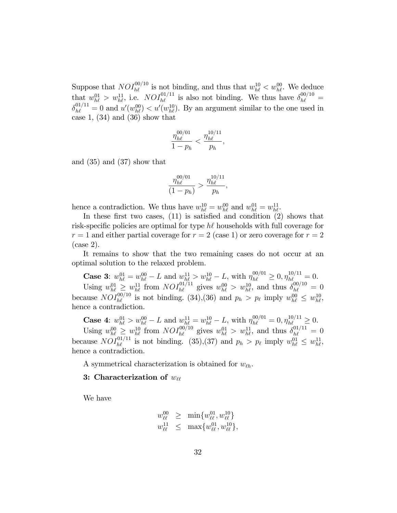Suppose that  $NOI_{h\ell}^{00/10}$  is not binding, and thus that  $w_{h\ell}^{10} < w_{h\ell}^{00}$ . We deduce that  $w_{h\ell}^{01} > w_{h\ell}^{11}$ , i.e.  $NOI_{h\ell}^{01/11}$  is also not binding. We thus have  $\delta_{h\ell}^{00/10} =$  $\delta_{h\ell}^{01/11} = 0$  and  $u'(w_{h\ell}^{00}) < u'(w_{h\ell}^{10})$ . By an argument similar to the one used in case 1,  $(34)$  and  $(36)$  show that

$$
\frac{\eta_{h\ell}^{00/01}}{1-p_h} < \frac{\eta_{h\ell}^{10/11}}{p_h},
$$

and (35) and (37) show that

$$
\frac{\eta_{h\ell}^{00/01}}{(1-p_h)} > \frac{\eta_{h\ell}^{10/11}}{p_h},
$$

hence a contradiction. We thus have  $w_{h\ell}^{10} = w_{h\ell}^{00}$  and  $w_{h\ell}^{01} = w_{h\ell}^{11}$ .

In these first two cases,  $(11)$  is satisfied and condition  $(2)$  shows that risk-specific policies are optimal for type  $h\ell$  households with full coverage for  $r = 1$  and either partial coverage for  $r = 2$  (case 1) or zero coverage for  $r = 2$ (case 2).

It remains to show that the two remaining cases do not occur at an optimal solution to the relaxed problem.

**Case 3:**  $w_{h\ell}^{01} = w_{h\ell}^{00} - L$  and  $w_{h\ell}^{11} > w_{h\ell}^{10} - L$ , with  $\eta_{h\ell}^{00/01} \geq 0, \eta_{h\ell}^{10/11} = 0$ . Using  $w_{h\ell}^{01} \geq w_{h\ell}^{11}$  from  $NOI_{h\ell}^{01/11}$  gives  $w_{h\ell}^{00} > w_{h\ell}^{10}$ , and thus  $\delta_{h\ell}^{00/10} = 0$ because  $NOI_{h\ell}^{00/10}$  is not binding. (34), (36) and  $p_h > p_\ell$  imply  $w_{h\ell}^{00} \leq w_{h\ell}^{10}$ , hence a contradiction.

**Case 4:**  $w_{h\ell}^{01} > w_{h\ell}^{00} - L$  and  $w_{h\ell}^{11} = w_{h\ell}^{10} - L$ , with  $\eta_{h\ell}^{00/01} = 0, \eta_{h\ell}^{10/11} \geq 0$ . Using  $w_{h\ell}^{00} \geq w_{h\ell}^{10}$  from  $NOI_{h\ell}^{00/10}$  gives  $w_{h\ell}^{01} > w_{h\ell}^{11}$ , and thus  $\delta_{h\ell}^{01/11} = 0$ because  $NOI_{h\ell}^{01/11}$  is not binding. (35), (37) and  $p_h > p_\ell$  imply  $w_{h\ell}^{01} \leq w_{h\ell}^{11}$ , hence a contradiction.

A symmetrical characterization is obtained for  $w_{\ell h}$ .

## 3: Characterization of  $w_{\ell\ell}$

We have

$$
w_{\ell\ell}^{00} \geq \min \{w_{\ell\ell}^{01}, w_{\ell\ell}^{10}\}w_{\ell\ell}^{11} \leq \max \{w_{\ell\ell}^{01}, w_{\ell\ell}^{10}\},\
$$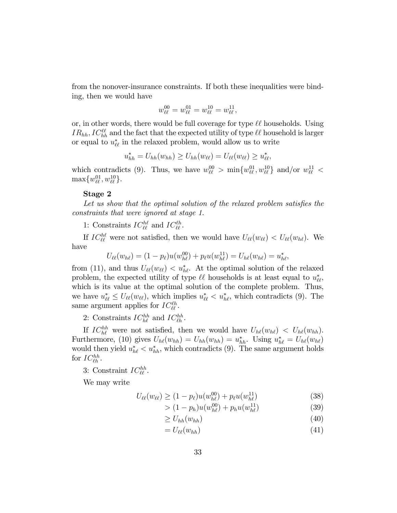from the nonover-insurance constraints. If both these inequalities were binding, then we would have

$$
w_{\ell\ell}^{00} = w_{\ell\ell}^{01} = w_{\ell\ell}^{10} = w_{\ell\ell}^{11},
$$

or, in other words, there would be full coverage for type  $\ell\ell$  households. Using  $IR_{hh}, IC_{hh}^{\ell\ell}$  and the fact that the expected utility of type  $\ell\ell$  household is larger or equal to  $u_{\ell\ell}^*$  in the relaxed problem, would allow us to write

$$
u_{hh}^* = U_{hh}(w_{hh}) \geq U_{hh}(w_{\ell\ell}) = U_{\ell\ell}(w_{\ell\ell}) \geq u_{\ell\ell}^*,
$$

which contradicts (9). Thus, we have  $w_{\ell\ell}^{00} > \min\{w_{\ell\ell}^{01}, w_{\ell\ell}^{10}\}\$  and/or  $w_{\ell\ell}^{11} <$  $\max\{w_{\ell\ell}^{01}, w_{\ell\ell}^{10}\}.$ 

#### Stage 2

Let us show that the optimal solution of the relaxed problem satisfies the constraints that were ignored at stage 1.

1: Constraints  $IC_{\ell\ell}^{h\ell}$  and  $IC_{\ell\ell}^{e\ell}$ .

If  $IC_{\ell\ell}^{h\ell}$  were not satisfied, then we would have  $U_{\ell\ell}(w_{\ell\ell}) < U_{\ell\ell}(w_{h\ell})$ . We have

$$
U_{\ell\ell}(w_{h\ell}) = (1 - p_{\ell})u(w_{h\ell}^{00}) + p_{\ell}u(w_{h\ell}^{11}) = U_{h\ell}(w_{h\ell}) = u_{h\ell}^*,
$$

from (11), and thus  $U_{\ell\ell}(w_{\ell\ell}) < u^*_{h\ell}$ . At the optimal solution of the relaxed problem, the expected utility of type  $\ell\ell$  households is at least equal to  $u^*_{\ell\ell}$ , which is its value at the optimal solution of the complete problem. Thus, we have  $u_{\ell\ell}^* \leq U_{\ell\ell}(w_{\ell\ell}),$  which implies  $u_{\ell\ell}^* < u_{h\ell}^*$ , which contradicts (9). The same argument applies for  $IC_{\ell\ell}^{\ell h}$ .

2: Constraints  $IC_{h\ell}^{hh}$  and  $IC_{\ell h}^{hh}$ .

If  $IC_{h\ell}^{hh}$  were not satisfied, then we would have  $U_{h\ell}(w_{h\ell}) \langle U_{h\ell}(w_{hh}) \rangle$ . Furthermore, (10) gives  $U_{h\ell}(w_{hh}) = U_{hh}(w_{hh}) = u_{hh}^*$ . Using  $u_{h\ell}^* = U_{h\ell}(w_{h\ell})$ would then yield  $u_{h\ell}^* < u_{hh}^*$ , which contradicts (9). The same argument holds for  $IC_{\ell h}^{hh}$ .

3: Constraint  $IC_{\ell\ell}^{hh}$ .

We may write

$$
U_{\ell\ell}(w_{\ell\ell}) \ge (1 - p_{\ell})u(w_{h\ell}^{00}) + p_{\ell}u(w_{h\ell}^{11})
$$
\n(38)

$$
> (1 - p_h)u(w_{h\ell}^{00}) + p_h u(w_{h\ell}^{11})\tag{39}
$$

$$
\geq U_{hh}(w_{hh})\tag{40}
$$

$$
=U_{\ell\ell}(w_{hh})\tag{41}
$$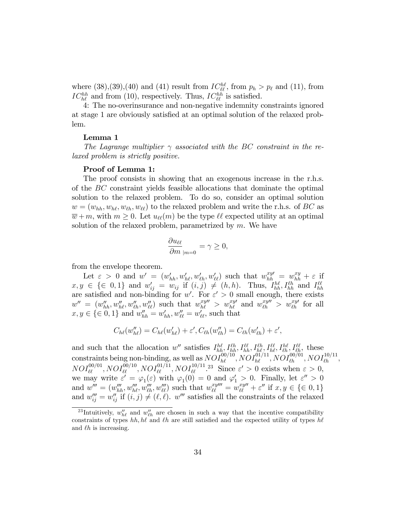where  $(38),(39),(40)$  and  $(41)$  result from  $IC_{\ell\ell}^{h\ell}$ , from  $p_h > p_\ell$  and  $(11)$ , from  $IC_{h\ell}^{hh}$  and from (10), respectively. Thus,  $IC_{\ell\ell}^{hh}$  is satisfied.

4: The no-overinsurance and non-negative indemnity constraints ignored at stage 1 are obviously satisfied at an optimal solution of the relaxed problem.

## Lemma 1

The Lagrange multiplier  $\gamma$  associated with the BC constraint in the relaxed problem is strictly positive.

### Proof of Lemma 1:

The proof consists in showing that an exogenous increase in the r.h.s. of the BC constraint yields feasible allocations that dominate the optimal solution to the relaxed problem. To do so, consider an optimal solution  $w = (w_{hh}, w_{hh}, w_{\ell h}, w_{\ell \ell})$  to the relaxed problem and write the r.h.s. of BC as  $\overline{w} + m$ , with  $m \geq 0$ . Let  $u_{\ell\ell}(m)$  be the type  $\ell\ell$  expected utility at an optimal solution of the relaxed problem, parametrized by  $m$ . We have

$$
\frac{\partial u_{\ell\ell}}{\partial m}_{|m=0} = \gamma \ge 0,
$$

from the envelope theorem.

Let  $\varepsilon > 0$  and  $w' = (w'_{hh}, w'_{hh}, w'_{\ell h}, w'_{\ell \ell})$  such that  $w_{hh}^{xy'} = w_{hh}^{xy} + \varepsilon$  if  $x, y \in \{\in 0, 1\}$  and  $w'_{ij} = w_{ij}$  if  $(i, j) \neq (h, h)$ . Thus,  $I_{hh}^{h\ell}, I_{hh}^{\ell h}$  and  $I_{hh}^{\ell\ell}$ are satisfied and non-binding for w'. For  $\varepsilon' > 0$  small enough, there exists  $w'' = (w''_{hh}, w''_{hh}, w''_{\ell\ell}, w''_{\ell\ell})$  such that  $w_{hl}^{xy''} > w_{hl}^{xy'}$  and  $w_{\ell h}^{xy''} > w_{\ell h}^{xy'}$  for all  $x, y \in \{\in 0, 1\}$  and  $w''_{hh} = w'_{hh}, w''_{\ell\ell} = w'_{\ell\ell},$  such that

$$
C_{h\ell}(w_{h\ell}'')=C_{h\ell}(w_{h\ell}')+\varepsilon', C_{\ell h}(w_{\ell h}'')=C_{\ell h}(w_{\ell h}')+\varepsilon',
$$

and such that the allocation w'' satisfies  $I_{hh}^{h\ell}$ ,  $I_{hh}^{\ell h}$ ,  $I_{hh}^{\ell \ell}$ ,  $I_{hh}^{\ell \ell}$ ,  $I_{hh}^{\ell \ell}$ ,  $I_{\ell h}^{\ell \ell}$ , these constraints being non-binding, as well as  $NOI_{h\ell}^{00/10}$ ,  $NOI_{h\ell}^{01/11}$ ,  $NOI_{\ell h}^{00/01}$ ,  $NOI_{\ell h}^{10/11}$ ,  $NOI_{\ell\ell}^{00/01}, NOI_{\ell\ell}^{00/10}, NOI_{\ell\ell}^{01/11}, NOI_{\ell\ell}^{10/11}.$ <sup>23</sup> Since  $\varepsilon' > 0$  exists when  $\varepsilon > 0$ , we may write  $\varepsilon' = \varphi_1(\varepsilon)$  with  $\varphi_1(0) = 0$  and  $\varphi'_1 > 0$ . Finally, let  $\varepsilon'' > 0$ and  $w''' = (w''_{hh}, w'''_{hh}, w'''_{\ell h}, w'''_{\ell \ell})$  such that  $w^{xy'''}_{\ell \ell} = w^{xy'''}_{\ell \ell} + \varepsilon''$  if  $x, y \in \{\in 0, 1\}$ and  $w_{ij}^{"'} = w_{ij}^{"}$  if  $(i, j) \neq (\ell, \ell)$ . w''' satisfies all the constraints of the relaxed

<sup>&</sup>lt;sup>23</sup>Intuitively,  $w''_{h\ell}$  and  $w''_{\ell h}$  are chosen in such a way that the incentive compatibility constraints of types hh, h $\ell$  and  $\ell h$  are still satisfied and the expected utility of types h $\ell$ and  $\ell h$  is increasing.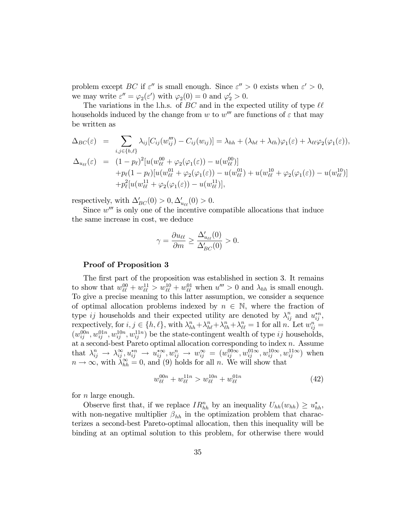problem except BC if  $\varepsilon''$  is small enough. Since  $\varepsilon'' > 0$  exists when  $\varepsilon' > 0$ , we may write  $\varepsilon'' = \varphi_2(\varepsilon')$  with  $\varphi_2(0) = 0$  and  $\varphi'_2 > 0$ .

The variations in the l.h.s. of BC and in the expected utility of type  $\ell\ell$ households induced by the change from w to  $w'''$  are functions of  $\varepsilon$  that may be written as

$$
\Delta_{BC}(\varepsilon) = \sum_{i,j \in \{h,\ell\}} \lambda_{ij} [C_{ij}(w_{ij}''') - C_{ij}(w_{ij})] = \lambda_{hh} + (\lambda_{h\ell} + \lambda_{\ell h}) \varphi_1(\varepsilon) + \lambda_{\ell \ell} \varphi_2(\varphi_1(\varepsilon)),
$$
  
\n
$$
\Delta_{u_{\ell \ell}}(\varepsilon) = (1 - p_{\ell})^2 [u(w_{\ell \ell}^{00} + \varphi_2(\varphi_1(\varepsilon)) - u(w_{\ell \ell}^{00})]
$$
  
\n
$$
+ p_{\ell} (1 - p_{\ell}) [u(w_{\ell \ell}^{01} + \varphi_2(\varphi_1(\varepsilon)) - u(w_{\ell \ell}^{01}) + u(w_{\ell \ell}^{10} + \varphi_2(\varphi_1(\varepsilon)) - u(w_{\ell \ell}^{10})]
$$
  
\n
$$
+ p_{\ell}^2 [u(w_{\ell \ell}^{11} + \varphi_2(\varphi_1(\varepsilon)) - u(w_{\ell \ell}^{11})],
$$

respectively, with  $\Delta'_{BC}(0) > 0, \Delta'_{u_{\ell\ell}}(0) > 0.$ 

Since  $w^{\prime\prime\prime}$  is only one of the incentive compatible allocations that induce the same increase in cost, we deduce

$$
\gamma = \frac{\partial u_{\ell\ell}}{\partial m} \ge \frac{\Delta'_{u_{\ell\ell}}(0)}{\Delta'_{BC}(0)} > 0.
$$

#### Proof of Proposition 3

The first part of the proposition was established in section 3. It remains to show that  $w_{\ell\ell}^{00} + w_{\ell\ell}^{11} > w_{\ell\ell}^{10} + w_{\ell\ell}^{01}$  when  $u''' > 0$  and  $\lambda_{hh}$  is small enough. To give a precise meaning to this latter assumption, we consider a sequence of optimal allocation problems indexed by  $n \in \mathbb{N}$ , where the fraction of type ij households and their expected utility are denoted by  $\lambda_{ij}^n$  and  $u_{ij}^{*n}$ , rexpectively, for  $i, j \in \{h, \ell\}$ , with  $\lambda_{hh}^n + \lambda_{hl}^n + \lambda_{\ell h}^n + \lambda_{\ell \ell}^n = 1$  for all n. Let  $w_{ij}^n =$  $(w_{ij}^{00n}, w_{ij}^{01n}, w_{ij}^{11n}, w_{ij}^{11n})$  be the state-contingent wealth of type ij households, at a second-best Pareto optimal allocation corresponding to index  $n$ . Assume that  $\lambda_{ij}^n \to \lambda_{ij}^\infty, u_{ij}^{*n} \to u_{ij}^{*\infty}, w_{ij}^n \to w_{ij}^\infty = (w_{ij}^{00\infty}, w_{ij}^{01\infty}, w_{ij}^{10\infty}, w_{ij}^{11\infty})$  when  $n \to \infty$ , with  $\lambda_{hh}^{\infty} = 0$ , and (9) holds for all n. We will show that

$$
w_{\ell\ell}^{00n} + w_{\ell\ell}^{11n} > w_{\ell\ell}^{10n} + w_{\ell\ell}^{01n}
$$
\n(42)

for  $n$  large enough.

Observe first that, if we replace  $IR_{hh}^n$  by an inequality  $U_{hh}(w_{hh}) \geq u_{hh}^*$ , with non-negative multiplier  $\beta_{hh}$  in the optimization problem that characterizes a second-best Pareto-optimal allocation, then this inequality will be binding at an optimal solution to this problem, for otherwise there would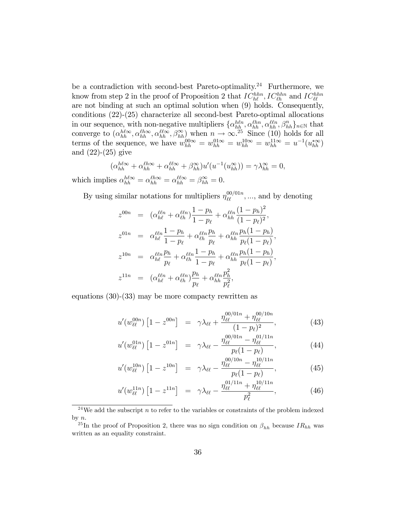be a contradiction with second-best Pareto-optimality.<sup>24</sup> Furthermore, we know from step 2 in the proof of Proposition 2 that  $IC_{h\ell}^{hhh}$ ,  $IC_{\ell h}^{hhh}$  and  $IC_{\ell\ell}^{hhh}$ are not binding at such an optimal solution when (9) holds. Consequently, conditions (22)-(25) characterize all second-best Pareto-optimal allocations in our sequence, with non-negative multipliers  $\{\alpha_{hh}^{hln}, \alpha_{hh}^{\ell ln}, \alpha_{hh}^{\ell ln}, \beta_{hh}^n\}_{n\in\mathbb{N}}$  that converge to  $(\alpha_{hh}^{h\ell\infty}, \alpha_{hh}^{\ell\ell\infty}, \beta_{hh}^{\infty})$  when  $n \to \infty$ .<sup>25</sup> Since (10) holds for all terms of the sequence, we have  $w_{hh}^{00\infty} = w_{hh}^{01\infty} = w_{hh}^{10\infty} = w_{hh}^{11\infty} = u^{-1}(u_{hh}^{*\infty})$ and (22)-(25) give

$$
\left(\alpha_{hh}^{h\ell\infty} + \alpha_{hh}^{\ell h\infty} + \alpha_{hh}^{\ell \ell \infty} + \beta_{hh}^{\infty}\right)u'\left(u^{-1}(u_{hh}^{\infty})\right) = \gamma \lambda_{hh}^{\infty} = 0,
$$

which implies  $\alpha_{hh}^{h\ell\infty} = \alpha_{hh}^{\ell\hbar\infty} = \alpha_{hh}^{\ell\ell\infty} = \beta_{hh}^{\infty} = 0.$ 

By using similar notations for multipliers  $\eta_{\ell\ell}^{00/01n}, \dots$ , and by denoting

$$
z^{00n} = (\alpha_{h\ell}^{\ell\ell n} + \alpha_{\ell h}^{\ell\ell n}) \frac{1 - p_h}{1 - p_\ell} + \alpha_{hh}^{\ell\ell n} \frac{(1 - p_h)^2}{(1 - p_\ell)^2},
$$
  
\n
$$
z^{01n} = \alpha_{h\ell}^{\ell\ell n} \frac{1 - p_h}{1 - p_\ell} + \alpha_{\ell h}^{\ell\ell n} \frac{p_h}{p_\ell} + \alpha_{hh}^{\ell\ell n} \frac{p_h(1 - p_h)}{p_\ell(1 - p_\ell)},
$$
  
\n
$$
z^{10n} = \alpha_{h\ell}^{\ell\ell n} \frac{p_h}{p_\ell} + \alpha_{\ell h}^{\ell\ell n} \frac{1 - p_h}{1 - p_\ell} + \alpha_{hh}^{\ell\ell n} \frac{p_h(1 - p_h)}{p_\ell(1 - p_\ell)},
$$
  
\n
$$
z^{11n} = (\alpha_{h\ell}^{\ell\ell n} + \alpha_{\ell h}^{\ell\ell n}) \frac{p_h}{p_\ell} + \alpha_{hh}^{\ell\ell n} \frac{p_h^2}{p_\ell^2},
$$

equations (30)-(33) may be more compacty rewritten as

$$
u'(w_{\ell\ell}^{00n})\left[1-z^{00n}\right] = \gamma \lambda_{\ell\ell} + \frac{\eta_{\ell\ell}^{00/01n} + \eta_{\ell\ell}^{00/10n}}{(1-p_{\ell})^2},\tag{43}
$$

$$
u'(w_{\ell\ell}^{01n})\left[1-z^{01n}\right] = \gamma \lambda_{\ell\ell} - \frac{\eta_{\ell\ell}^{00/01n} - \eta_{\ell\ell}^{01/11n}}{p_{\ell}(1-p_{\ell})},\tag{44}
$$

$$
u'(w_{\ell\ell}^{10n})\left[1-z^{10n}\right] = \gamma \lambda_{\ell\ell} - \frac{\eta_{\ell\ell}^{00/10n} - \eta_{\ell\ell}^{10/11n}}{p_{\ell}(1-p_{\ell})},\tag{45}
$$

$$
u'(w_{\ell\ell}^{11n})\left[1-z^{11n}\right] = \gamma \lambda_{\ell\ell} - \frac{\eta_{\ell\ell}^{01/11n} + \eta_{\ell\ell}^{10/11n}}{p_{\ell}^2},\tag{46}
$$

<sup>&</sup>lt;sup>24</sup>We add the subscript *n* to refer to the variables or constraints of the problem indexed by n.

<sup>&</sup>lt;sup>25</sup>In the proof of Proposition 2, there was no sign condition on  $\beta_{hh}$  because  $IR_{hh}$  was written as an equality constraint.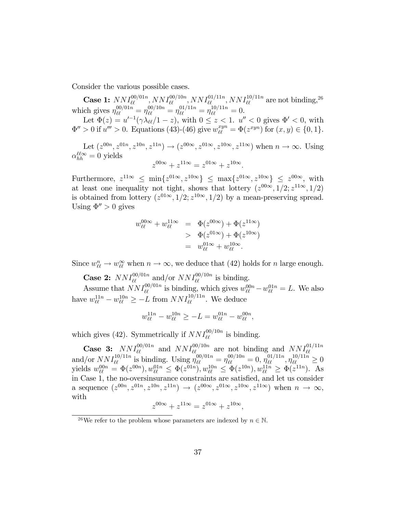Consider the various possible cases.

**Case 1:**  $NNI_{\ell\ell}^{00/01n}$ ,  $NNI_{\ell\ell}^{00/10n}$ ,  $NNI_{\ell\ell}^{01/11n}$ ,  $NNI_{\ell\ell}^{10/11n}$  are not binding, <sup>26</sup> which gives  $\eta_{\ell\ell}^{00/01n} = \eta_{\ell\ell}^{00/10n} = \eta_{\ell\ell}^{01/11n} = \eta_{\ell\ell}^{10/11n} = 0.$ 

Let  $\Phi(z) = u'^{-1}(\gamma \lambda_{\ell\ell}/1 - z)$ , with  $0 \le z < 1$ .  $u'' < 0$  gives  $\Phi' < 0$ , with  $\Phi'' > 0$  if  $u''' > 0$ . Equations (43)-(46) give  $w_{\ell\ell}^{xyn} = \Phi(z^{xyn})$  for  $(x, y) \in \{0, 1\}$ .

Let  $(z^{00n}, z^{01n}, z^{10n}, z^{11n}) \rightarrow (z^{00\infty}, z^{01\infty}, z^{10\infty}, z^{11\infty})$  when  $n \rightarrow \infty$ . Using  $\alpha_{hh}^{\ell\ell\infty} = 0$  yields

$$
z^{00\infty} + z^{11\infty} = z^{01\infty} + z^{10\infty}.
$$

Furthermore,  $z^{11\infty} \leq \min\{z^{01\infty}, z^{10\infty}\} \leq \max\{z^{01\infty}, z^{10\infty}\} \leq z^{00\infty}$ , with at least one inequality not tight, shows that lottery  $(z^{00\infty}, 1/2; z^{11\infty}, 1/2)$ is obtained from lottery  $(z^{01\infty}, 1/2; z^{10\infty}, 1/2)$  by a mean-preserving spread. Using  $\Phi'' > 0$  gives

$$
w_{\ell\ell}^{00\infty} + w_{\ell\ell}^{11\infty} = \Phi(z^{00\infty}) + \Phi(z^{11\infty})
$$
  
> 
$$
\Phi(z^{01\infty}) + \Phi(z^{10\infty})
$$
  
= 
$$
w_{\ell\ell}^{01\infty} + w_{\ell\ell}^{10\infty}.
$$

Since  $w_{\ell\ell}^n \to w_{\ell\ell}^{\infty}$  when  $n \to \infty$ , we deduce that (42) holds for n large enough.

**Case 2:**  $NNI_{\ell\ell}^{00/01n}$  and/or  $NNI_{\ell\ell}^{00/10n}$  is binding.

Assume that  $NNI_{\ell\ell}^{00/01n}$  is binding, which gives  $w_{\ell\ell}^{00n} - w_{\ell\ell}^{01n} = L$ . We also have  $w_{\ell\ell}^{11n} - w_{\ell\ell}^{10n} \ge -L$  from  $NNI_{\ell\ell}^{10/11n}$ . We deduce

$$
w_{\ell\ell}^{11n} - w_{\ell\ell}^{10n} \ge -L = w_{\ell\ell}^{01n} - w_{\ell\ell}^{00n},
$$

which gives (42). Symmetrically if  $NNI_{\ell\ell}^{00/10n}$  is binding.

**Case 3:**  $NNI_{\ell\ell}^{00/01n}$  and  $NNI_{\ell\ell}^{00/10n}$  are not binding and  $NNI_{\ell\ell}^{01/11n}$ <br>and/or  $NNI_{\ell\ell}^{10/11n}$  is binding. Using  $\eta_{\ell\ell}^{00/01n} = \eta_{\ell\ell}^{00/10n} = 0$ ,  $\eta_{\ell\ell}^{01/11n}$ ,  $\eta_{\ell\ell}^{10/11n} \geq 0$ yields  $w_{\ell\ell}^{00n} = \Phi(z^{00n}), w_{\ell\ell}^{01n} \leq \Phi(z^{01n}), w_{\ell\ell}^{10n} \leq \Phi(z^{10n}), w_{\ell\ell}^{11n} \geq \Phi(z^{11n}).$  As in Case 1, the no-oversinsurance constraints are satisfied, and let us consider a sequence  $(z^{00n}, z^{01n}, z^{10n}, z^{11n}) \rightarrow (z^{00\infty}, z^{01\infty}, z^{10\infty}, z^{11\infty})$  when  $n \rightarrow \infty$ , with

$$
z^{00\infty} + z^{11\infty} = z^{01\infty} + z^{10\infty},
$$

<sup>&</sup>lt;sup>26</sup>We refer to the problem whose parameters are indexed by  $n \in \mathbb{N}$ .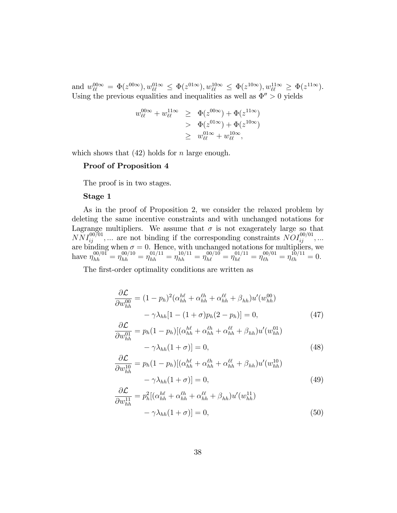$\text{and } w_{\ell\ell}^{00\infty} = \Phi(z^{00\infty}), w_{\ell\ell}^{01\infty} \leq \Phi(z^{01\infty}), w_{\ell\ell}^{10\infty} \leq \Phi(z^{10\infty}), w_{\ell\ell}^{11\infty} \geq \Phi(z^{11\infty}).$ Using the previous equalities and inequalities as well as  $\Phi'' > 0$  yields

$$
w_{\ell\ell}^{00\infty} + w_{\ell\ell}^{11\infty} \geq \Phi(z^{00\infty}) + \Phi(z^{11\infty})
$$
  
> 
$$
\Phi(z^{01\infty}) + \Phi(z^{10\infty})
$$
  

$$
\geq w_{\ell\ell}^{01\infty} + w_{\ell\ell}^{10\infty},
$$

which shows that  $(42)$  holds for *n* large enough.

#### Proof of Proposition 4

The proof is in two stages.

#### Stage 1

As in the proof of Proposition 2, we consider the relaxed problem by deleting the same incentive constraints and with unchanged notations for Lagrange multipliers. We assume that  $\sigma$  is not exagerately large so that  $NNI_{ij}^{00/01},...$  are not binding if the corresponding constraints  $NOI_{ij}^{00/01},...$ are binding when  $\sigma = 0$ . Hence, with unchanged notations for multipliers, we have  $\eta_{hh}^{00/01} = \eta_{hh}^{00/10} = \eta_{hh}^{01/11} = \eta_{hh}^{10/11} = \eta_{h\ell}^{00/10} = \eta_{h\ell}^{01/11} = \eta_{\ell h}^{00/01} = \eta_{\ell h}^{10/11} = 0.$ 

The first-order optimality conditions are written as

$$
\frac{\partial \mathcal{L}}{\partial w_{hh}^{00}} = (1 - p_h)^2 (\alpha_{hh}^{h\ell} + \alpha_{hh}^{\ell\ell} + \beta_{hh}) u'(w_{hh}^{00})
$$

$$
- \gamma \lambda_{hh} [1 - (1 + \sigma) p_h (2 - p_h)] = 0, \qquad (47)
$$

$$
\frac{\partial \mathcal{L}}{\partial w_{hh}^{01}} = p_h (1 - p_h) [(\alpha_{hh}^{h\ell} + \alpha_{hh}^{\ell\ell} + \alpha_{hh}^{\ell\ell} + \beta_{hh}) u'(w_{hh}^{01})
$$

$$
- \gamma \lambda_{hh} (1 + \sigma)] = 0, \qquad (48)
$$

$$
\frac{\partial \mathcal{L}}{\partial w_{hh}^{10}} = p_h (1 - p_h) [(\alpha_{hh}^{h\ell} + \alpha_{hh}^{\ell h} + \alpha_{hh}^{\ell \ell} + \beta_{hh}) u'(w_{hh}^{10})
$$

$$
- \gamma \lambda_{hh} (1 + \sigma)] = 0, \tag{49}
$$

$$
\frac{\partial \mathcal{L}}{\partial w_{hh}^{11}} = p_h^2 [(\alpha_{hh}^{h\ell} + \alpha_{hh}^{\ell\ell} + \alpha_{hh}^{\ell\ell} + \beta_{hh}) u'(w_{hh}^{11}) - \gamma \lambda_{hh} (1 + \sigma)] = 0,
$$
\n(50)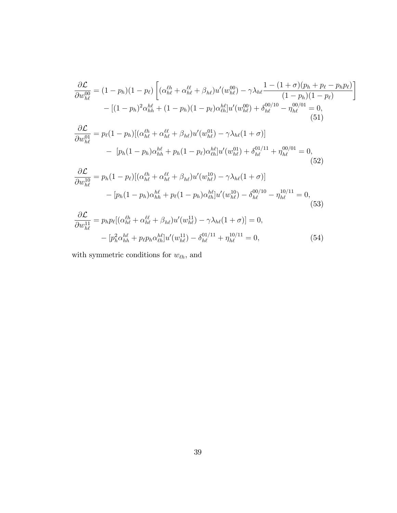$$
\frac{\partial \mathcal{L}}{\partial w_{h\ell}^{00}} = (1 - p_h)(1 - p_\ell) \left[ (\alpha_{h\ell}^{\ell h} + \alpha_{h\ell}^{\ell \ell} + \beta_{h\ell}) u'(w_{h\ell}^{00}) - \gamma \lambda_{h\ell} \frac{1 - (1 + \sigma)(p_h + p_\ell - p_h p_\ell)}{(1 - p_h)(1 - p_\ell)} \right]
$$
  
\n
$$
- [(1 - p_h)^2 \alpha_{hh}^{\ell \ell} + (1 - p_h)(1 - p_\ell) \alpha_{\ell h}^{\ell \ell}] u'(w_{h\ell}^{00}) + \delta_{h\ell}^{00/10} - \eta_{h\ell}^{00/01} = 0,
$$
  
\n
$$
\frac{\partial \mathcal{L}}{\partial w_{h\ell}^{01}} = p_\ell (1 - p_h) [(\alpha_{h\ell}^{\ell h} + \alpha_{h\ell}^{\ell \ell} + \beta_{h\ell}) u'(w_{h\ell}^{01}) - \gamma \lambda_{h\ell} (1 + \sigma)]
$$
  
\n
$$
- [p_h(1 - p_h) \alpha_{hh}^{\ell \ell} + p_h(1 - p_\ell) \alpha_{\ell h}^{\ell \ell}] u'(w_{h\ell}^{01}) + \delta_{h\ell}^{01/11} + \eta_{h\ell}^{00/01} = 0,
$$
  
\n
$$
\frac{\partial \mathcal{L}}{\partial w_{h\ell}^{10}} = p_h(1 - p_\ell) [(\alpha_{h\ell}^{\ell h} + \alpha_{h\ell}^{\ell \ell} + \beta_{h\ell}) u'(w_{h\ell}^{10}) - \gamma \lambda_{h\ell} (1 + \sigma)]
$$
  
\n
$$
- [p_h(1 - p_h) \alpha_{hh}^{\ell \ell} + p_\ell (1 - p_h) \alpha_{\ell h}^{\ell \ell}] u'(w_{h\ell}^{10}) - \delta_{h\ell}^{00/10} - \eta_{h\ell}^{10/11} = 0,
$$
  
\n
$$
\frac{\partial \mathcal{L}}{\partial w_{h\ell}^{11}} = p_h p_\ell [(\alpha_{h\ell}^{\ell h} + \alpha_{h\ell}^{\ell \ell} + \beta_{h\ell}) u'(w_{h\ell}^{11}) - \gamma \lambda_{h\ell} (1 + \sigma)] = 0,
$$
  
\n(

$$
- [p_h^2 \alpha_{hh}^{h\ell} + p_\ell p_h \alpha_{\ell h}^{h\ell}] u'(w_{h\ell}^{11}) - \delta_{h\ell}^{01/11} + \eta_{h\ell}^{10/11} = 0, \tag{54}
$$

with symmetric conditions for  $w_{\ell h},$  and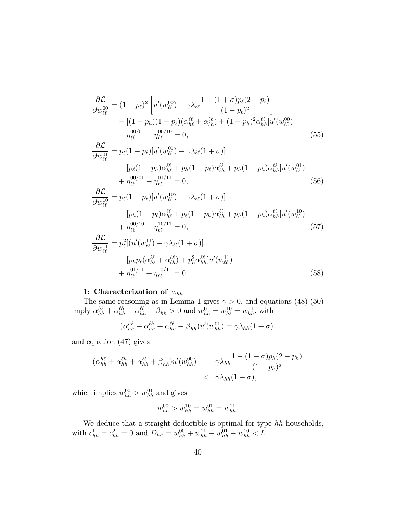$$
\frac{\partial \mathcal{L}}{\partial w_{\ell\ell}^{00}} = (1 - p_{\ell})^{2} \left[ u'(w_{\ell\ell}^{00}) - \gamma \lambda_{\ell\ell} \frac{1 - (1 + \sigma)p_{\ell}(2 - p_{\ell})}{(1 - p_{\ell})^{2}} \right] \n- [(1 - p_{h})(1 - p_{\ell})(\alpha_{h\ell}^{\ell\ell} + \alpha_{\ell h}^{\ell\ell}) + (1 - p_{h})^{2} \alpha_{hh}^{\ell\ell}] u'(w_{\ell\ell}^{00}) \n- \eta_{\ell\ell}^{00/01} - \eta_{\ell\ell}^{00/10} = 0, \qquad (55) \n\frac{\partial \mathcal{L}}{\partial w_{\ell\ell}^{01}} = p_{\ell}(1 - p_{\ell}) [u'(w_{\ell\ell}^{01}) - \gamma \lambda_{\ell\ell}(1 + \sigma)] \n- [p_{\ell}(1 - p_{h}) \alpha_{h\ell}^{\ell\ell} + p_{h}(1 - p_{\ell}) \alpha_{\ell h}^{\ell\ell} + p_{h}(1 - p_{h}) \alpha_{hh}^{\ell\ell}] u'(w_{\ell\ell}^{01}) \n+ \eta_{\ell\ell}^{00/01} - \eta_{\ell\ell}^{01/11} = 0, \qquad (56) \n\frac{\partial \mathcal{L}}{\partial w_{\ell\ell}^{10}} = p_{\ell}(1 - p_{\ell}) [u'(w_{\ell\ell}^{10}) - \gamma \lambda_{\ell\ell}(1 + \sigma)] \n- [p_{h}(1 - p_{\ell}) \alpha_{h\ell}^{\ell\ell} + p_{\ell}(1 - p_{h}) \alpha_{\ell h}^{\ell\ell} + p_{h}(1 - p_{h}) \alpha_{hh}^{\ell\ell}] u'(w_{\ell\ell}^{10}) \n+ \eta_{\ell\ell}^{00/10} - \eta_{\ell\ell}^{10/11} = 0, \qquad (57) \n\frac{\partial \mathcal{L}}{\partial w_{\ell\ell}^{11}} = p_{\ell}^{2} [(u'(w_{\ell\ell}^{11}) - \gamma \lambda_{\ell\ell}(1 + \sigma)] \n- [p_{h} p_{\ell}(\alpha_{h\ell}^{\ell\ell} + \alpha_{\ell h}^{\ell\ell}) + p_{h}^{2} \alpha_{
$$

## 1: Characterization of  $w_{hh}$

The same reasoning as in Lemma 1 gives  $\gamma > 0$ , and equations (48)-(50) imply  $\alpha_{hh}^{h\ell} + \alpha_{hh}^{\ell\ell} + \alpha_{hh}^{\ell\ell} + \beta_{hh} > 0$  and  $w_{hh}^{01} = w_{hh}^{10} = w_{hh}^{11}$ , with

$$
(\alpha_{hh}^{h\ell} + \alpha_{hh}^{\ell h} + \alpha_{hh}^{\ell \ell} + \beta_{hh})u'(w_{hh}^{01}) = \gamma \lambda_{hh} (1 + \sigma).
$$

and equation (47) gives

$$
(\alpha_{hh}^{h\ell} + \alpha_{hh}^{\ell h} + \alpha_{hh}^{\ell \ell} + \beta_{hh})u'(w_{hh}^{00}) = \gamma \lambda_{hh} \frac{1 - (1 + \sigma)p_h(2 - p_h)}{(1 - p_h)^2}
$$
  
<  $\gamma \lambda_{hh}(1 + \sigma),$ 

which implies  $w_{hh}^{00} > w_{hh}^{01}$  and gives

$$
w_{hh}^{00} > w_{hh}^{10} = w_{hh}^{01} = w_{hh}^{11}.
$$

We deduce that a straight deductible is optimal for type  $hh$  households, with  $c_{hh}^1 = c_{hh}^2 = 0$  and  $D_{hh} = w_{hh}^{00} + w_{hh}^{11} - w_{hh}^{01} - w_{hh}^{10} < L$ .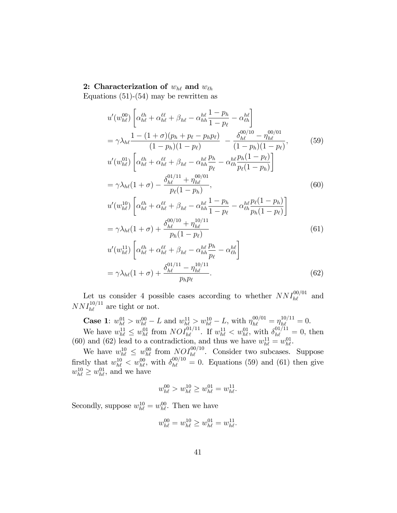## 2: Characterization of  $w_{h\ell}$  and  $w_{\ell h}$

Equations  $(51)-(54)$  may be rewritten as

$$
u'(w_{h\ell}^{00}) \left[ \alpha_{h\ell}^{\ell h} + \alpha_{h\ell}^{\ell \ell} + \beta_{h\ell} - \alpha_{hh}^{h\ell} \frac{1 - p_h}{1 - p_\ell} - \alpha_{\ell h}^{h\ell} \right]
$$
  
\n
$$
= \gamma \lambda_{h\ell} \frac{1 - (1 + \sigma)(p_h + p_\ell - p_h p_\ell)}{(1 - p_h)(1 - p_\ell)} - \frac{\delta_{h\ell}^{00/10} - \eta_{h\ell}^{00/01}}{(1 - p_h)(1 - p_\ell)},
$$
(59)  
\n
$$
u'(w_{h\ell}^{01}) \left[ \alpha_{h\ell}^{\ell h} + \alpha_{h\ell}^{\ell \ell} + \beta_{h\ell} - \alpha_{hh}^{\ell \ell} \frac{p_h}{p_\ell} - \alpha_{\ell h}^{\ell h} \frac{p_h(1 - p_\ell)}{p_\ell(1 - p_h)} \right]
$$
  
\n
$$
= \gamma \lambda_{h\ell} (1 + \sigma) - \frac{\delta_{h\ell}^{01/11} + \eta_{h\ell}^{00/01}}{p_\ell(1 - p_h)},
$$
(60)  
\n
$$
u'(w_{h\ell}^{10}) \left[ \alpha_{h\ell}^{\ell h} + \alpha_{h\ell}^{\ell \ell} + \beta_{h\ell} - \alpha_{hh}^{h\ell} \frac{1 - p_h}{1 - p_\ell} - \alpha_{\ell h}^{\ell \ell} \frac{p_\ell(1 - p_h)}{p_h(1 - p_\ell)} \right]
$$
  
\n
$$
= \gamma \lambda_{h\ell} (1 + \sigma) + \frac{\delta_{h\ell}^{00/10} + \eta_{h\ell}^{10/11}}{p_h(1 - p_\ell)}
$$
(61)  
\n
$$
u'(w_{h\ell}^{11}) \left[ \epsilon_{h}^{\ell h} - \epsilon_{h}^{\ell \ell} + \beta_{h\ell} - \alpha_{h\ell}^{\ell h} \frac{p_h}{p_h} - \beta_{h\ell} \right]
$$

$$
u'(w_{h\ell}^{11})\left[\alpha_{h\ell}^{\ell h} + \alpha_{h\ell}^{\ell \ell} + \beta_{h\ell} - \alpha_{hh}^{h\ell} \frac{p_h}{p_\ell} - \alpha_{\ell h}^{h\ell}\right]
$$

$$
= \gamma \lambda_{h\ell} (1 + \sigma) + \frac{\delta_{h\ell}^{01/11} - \eta_{h\ell}^{10/11}}{p_h p_\ell}.
$$
(62)

Let us consider 4 possible cases according to whether  $NNI_{h\ell}^{00/01}$  and  $NNI_{h\ell}^{10/11}$  are tight or not.

**Case 1:**  $w_{h\ell}^{01} > w_{h\ell}^{00} - L$  and  $w_{h\ell}^{11} > w_{h\ell}^{10} - L$ , with  $\eta_{h\ell}^{00/01} = \eta_{h\ell}^{10/11} = 0$ . We have  $w_{h\ell}^{11} \leq w_{h\ell}^{01}$  from  $NOI_{h\ell}^{01/11}$ . If  $w_{h\ell}^{11} < w_{h\ell}^{01}$ , with  $\delta_{h\ell}^{01/11} = 0$ , then (60) and (62) lead to a contradiction, and thus we have  $w_{h\ell}^{11} = w_{h\ell}^{01}$ .

We have  $w_{h\ell}^{10} \leq w_{h\ell}^{00}$  from  $NOP_{h\ell}^{00/10}$ . Consider two subcases. Suppose firstly that  $w_{h\ell}^{10} < w_{h\ell}^{00}$ , with  $\delta_{h\ell}^{00/10} = 0$ . Equations (59) and (61) then give  $w_{h\ell}^{10} \geq w_{h\ell}^{01}$ , and we have

$$
w_{h\ell}^{00} > w_{h\ell}^{10} \ge w_{h\ell}^{01} = w_{h\ell}^{11}.
$$

Secondly, suppose  $w_{h\ell}^{10} = w_{h\ell}^{00}$ . Then we have

$$
w_{h\ell}^{00} = w_{h\ell}^{10} \ge w_{h\ell}^{01} = w_{h\ell}^{11}.
$$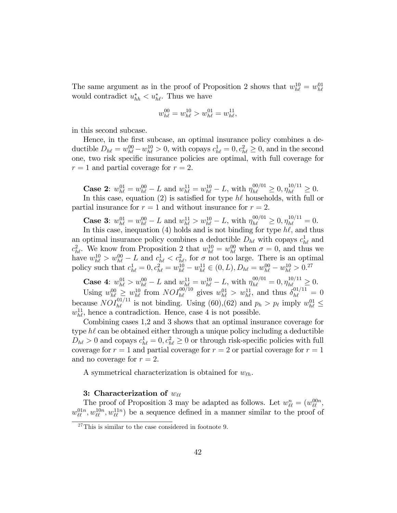The same argument as in the proof of Proposition 2 shows that  $w_{h\ell}^{10} = w_{h\ell}^{01}$ would contradict  $u_{hh}^* < u_{h\ell}^*$ . Thus we have

$$
w_{h\ell}^{00} = w_{h\ell}^{10} > w_{h\ell}^{01} = w_{h\ell}^{11},
$$

in this second subcase.

Hence, in the first subcase, an optimal insurance policy combines a deductible  $D_{h\ell} = w_{h\ell}^{00} - w_{h\ell}^{10} > 0$ , with copays  $c_{h\ell}^1 = 0, c_{h\ell}^2 \ge 0$ , and in the second one, two risk specific insurance policies are optimal, with full coverage for  $r = 1$  and partial coverage for  $r = 2$ .

**Case 2:**  $w_{h\ell}^{01} = w_{h\ell}^{00} - L$  and  $w_{h\ell}^{11} = w_{h\ell}^{10} - L$ , with  $\eta_{h\ell}^{00/01} \geq 0, \eta_{h\ell}^{10/11} \geq 0$ .

In this case, equation (2) is satisfied for type  $h\ell$  households, with full or partial insurance for  $r = 1$  and without insurance for  $r = 2$ .

**Case 3:**  $w_{h\ell}^{01} = w_{h\ell}^{00} - L$  and  $w_{h\ell}^{11} > w_{h\ell}^{10} - L$ , with  $\eta_{h\ell}^{00/01} \geq 0, \eta_{h\ell}^{10/11} = 0$ .

In this case, inequation (4) holds and is not binding for type  $h\ell$ , and thus an optimal insurance policy combines a deductible  $D_{h\ell}$  with copays  $c_{h\ell}^1$  and  $c_{h\ell}^2$ . We know from Proposition 2 that  $w_{h\ell}^{10} = w_{h\ell}^{00}$  when  $\sigma = 0$ , and thus we have  $w_{h\ell}^{10} > w_{h\ell}^{00} - L$  and  $c_{h\ell}^1 < c_{h\ell}^2$ , for  $\sigma$  not too large. There is an optimal policy such that  $c_{h\ell}^1 = 0, c_{h\ell}^2 = w_{h\ell}^{10} - w_{h\ell}^{11} \in (0, L), D_{h\ell} = w_{h\ell}^{00} - w_{h\ell}^{10} > 0$ .<sup>27</sup>

**Case 4:**  $w_{h\ell}^{01} > w_{h\ell}^{00} - L$  and  $w_{h\ell}^{11} = w_{h\ell}^{10} - L$ , with  $\eta_{h\ell}^{00/01} = 0, \eta_{h\ell}^{10/11} \geq 0$ . Using  $w_{h\ell}^{00} \geq w_{h\ell}^{10}$  from  $NOI_{h\ell}^{00/10}$  gives  $w_{h\ell}^{01} > w_{h\ell}^{11}$ , and thus  $\delta_{h\ell}^{01/11} = 0$ because  $NOI_{h\ell}^{01/11}$  is not binding. Using (60),(62) and  $p_h > p_\ell$  imply  $w_{h\ell}^{01} \leq$  $w_{h\ell}^{11}$ , hence a contradiction. Hence, case 4 is not possible.

Combining cases 1,2 and 3 shows that an optimal insurance coverage for type  $h\ell$  can be obtained either through a unique policy including a deductible  $D_{h\ell} > 0$  and copays  $c_{h\ell}^1 = 0, c_{h\ell}^2 \geq 0$  or through risk-specific policies with full coverage for  $r = 1$  and partial coverage for  $r = 2$  or partial coverage for  $r = 1$ and no coverage for  $r = 2$ .

A symmetrical characterization is obtained for  $w_{\ell h}$ .

## 3: Characterization of  $w_{\ell\ell}$

The proof of Proposition 3 may be adapted as follows. Let  $w_{\ell\ell}^n = (w_{\ell\ell}^{00n},$  $w_{\ell\ell}^{01n}, w_{\ell\ell}^{10n}, w_{\ell\ell}^{11n}$  be a sequence defined in a manner similar to the proof of

<sup>&</sup>lt;sup>27</sup>This is similar to the case considered in footnote 9.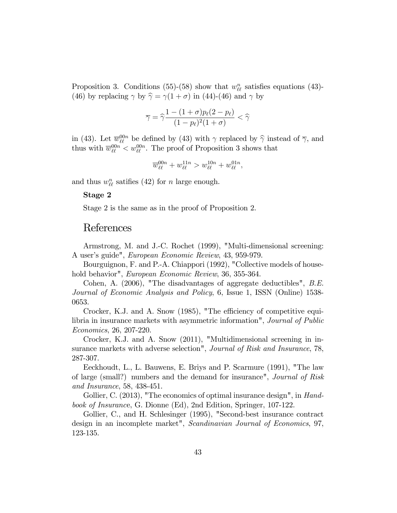Proposition 3. Conditions (55)-(58) show that  $w_{\ell\ell}^n$  satisfies equations (43)-(46) by replacing  $\gamma$  by  $\hat{\gamma} = \gamma(1 + \sigma)$  in (44)-(46) and  $\gamma$  by

$$
\overline{\gamma} = \widehat{\gamma} \frac{1 - (1 + \sigma) p_{\ell} (2 - p_{\ell})}{(1 - p_{\ell})^2 (1 + \sigma)} < \widehat{\gamma}
$$

in (43). Let  $\overline{w}_{\ell\ell}^{00n}$  be defined by (43) with  $\gamma$  replaced by  $\widehat{\gamma}$  instead of  $\overline{\gamma}$ , and thus with  $\overline{w}_{\ell\ell}^{00n} < w_{\ell\ell}^{00n}$ . The proof of Proposition 3 shows that

$$
\overline{w}_{\ell\ell}^{00n} + w_{\ell\ell}^{11n} > w_{\ell\ell}^{10n} + w_{\ell\ell}^{01n},
$$

and thus  $w_{\ell\ell}^n$  satifies (42) for n large enough.

#### Stage 2

Stage 2 is the same as in the proof of Proposition 2.

# References

Armstrong, M. and J.-C. Rochet (1999), "Multi-dimensional screening: A user's guide", *European Economic Review*, 43, 959-979.

Bourguignon, F. and P.-A. Chiappori (1992), "Collective models of household behavior", European Economic Review, 36, 355-364.

Cohen, A. (2006), "The disadvantages of aggregate deductibles", B.E. Journal of Economic Analysis and Policy, 6, Issue 1, ISSN (Online) 1538- 0653.

Crocker, K.J. and A. Snow (1985), "The efficiency of competitive equilibria in insurance markets with asymmetric information", Journal of Public Economics, 26, 207-220.

Crocker, K.J. and A. Snow (2011), "Multidimensional screening in insurance markets with adverse selection", Journal of Risk and Insurance, 78, 287-307.

Eeckhoudt, L., L. Bauwens, E. Briys and P. Scarmure (1991), "The law of large (small?) numbers and the demand for insurance", Journal of Risk and Insurance, 58, 438-451.

Gollier, C. (2013), "The economics of optimal insurance design", in Handbook of Insurance, G. Dionne (Ed), 2nd Edition, Springer, 107-122.

Gollier, C., and H. Schlesinger (1995), "Second-best insurance contract design in an incomplete market", Scandinavian Journal of Economics, 97, 123-135.